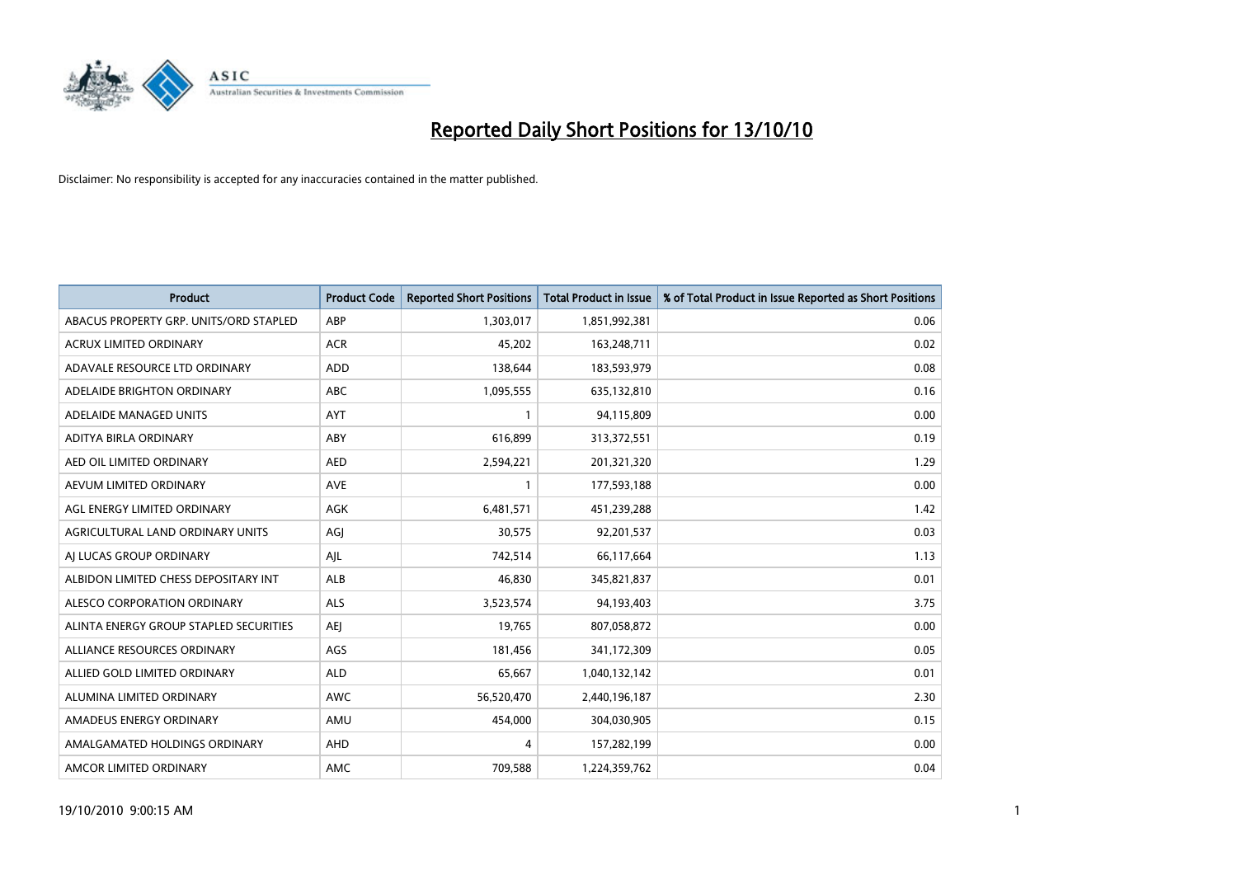

| <b>Product</b>                         | <b>Product Code</b> | <b>Reported Short Positions</b> | <b>Total Product in Issue</b> | % of Total Product in Issue Reported as Short Positions |
|----------------------------------------|---------------------|---------------------------------|-------------------------------|---------------------------------------------------------|
| ABACUS PROPERTY GRP. UNITS/ORD STAPLED | ABP                 | 1,303,017                       | 1,851,992,381                 | 0.06                                                    |
| ACRUX LIMITED ORDINARY                 | <b>ACR</b>          | 45,202                          | 163,248,711                   | 0.02                                                    |
| ADAVALE RESOURCE LTD ORDINARY          | <b>ADD</b>          | 138,644                         | 183,593,979                   | 0.08                                                    |
| ADELAIDE BRIGHTON ORDINARY             | ABC                 | 1,095,555                       | 635,132,810                   | 0.16                                                    |
| ADELAIDE MANAGED UNITS                 | AYT                 |                                 | 94,115,809                    | 0.00                                                    |
| ADITYA BIRLA ORDINARY                  | ABY                 | 616,899                         | 313,372,551                   | 0.19                                                    |
| AED OIL LIMITED ORDINARY               | <b>AED</b>          | 2,594,221                       | 201,321,320                   | 1.29                                                    |
| AEVUM LIMITED ORDINARY                 | <b>AVE</b>          |                                 | 177,593,188                   | 0.00                                                    |
| AGL ENERGY LIMITED ORDINARY            | <b>AGK</b>          | 6,481,571                       | 451,239,288                   | 1.42                                                    |
| AGRICULTURAL LAND ORDINARY UNITS       | AGI                 | 30,575                          | 92,201,537                    | 0.03                                                    |
| AJ LUCAS GROUP ORDINARY                | AJL                 | 742,514                         | 66,117,664                    | 1.13                                                    |
| ALBIDON LIMITED CHESS DEPOSITARY INT   | ALB                 | 46,830                          | 345,821,837                   | 0.01                                                    |
| ALESCO CORPORATION ORDINARY            | <b>ALS</b>          | 3,523,574                       | 94,193,403                    | 3.75                                                    |
| ALINTA ENERGY GROUP STAPLED SECURITIES | <b>AEI</b>          | 19,765                          | 807,058,872                   | 0.00                                                    |
| ALLIANCE RESOURCES ORDINARY            | AGS                 | 181,456                         | 341,172,309                   | 0.05                                                    |
| ALLIED GOLD LIMITED ORDINARY           | <b>ALD</b>          | 65,667                          | 1,040,132,142                 | 0.01                                                    |
| ALUMINA LIMITED ORDINARY               | <b>AWC</b>          | 56,520,470                      | 2,440,196,187                 | 2.30                                                    |
| AMADEUS ENERGY ORDINARY                | AMU                 | 454,000                         | 304,030,905                   | 0.15                                                    |
| AMALGAMATED HOLDINGS ORDINARY          | AHD                 | 4                               | 157,282,199                   | 0.00                                                    |
| AMCOR LIMITED ORDINARY                 | <b>AMC</b>          | 709.588                         | 1,224,359,762                 | 0.04                                                    |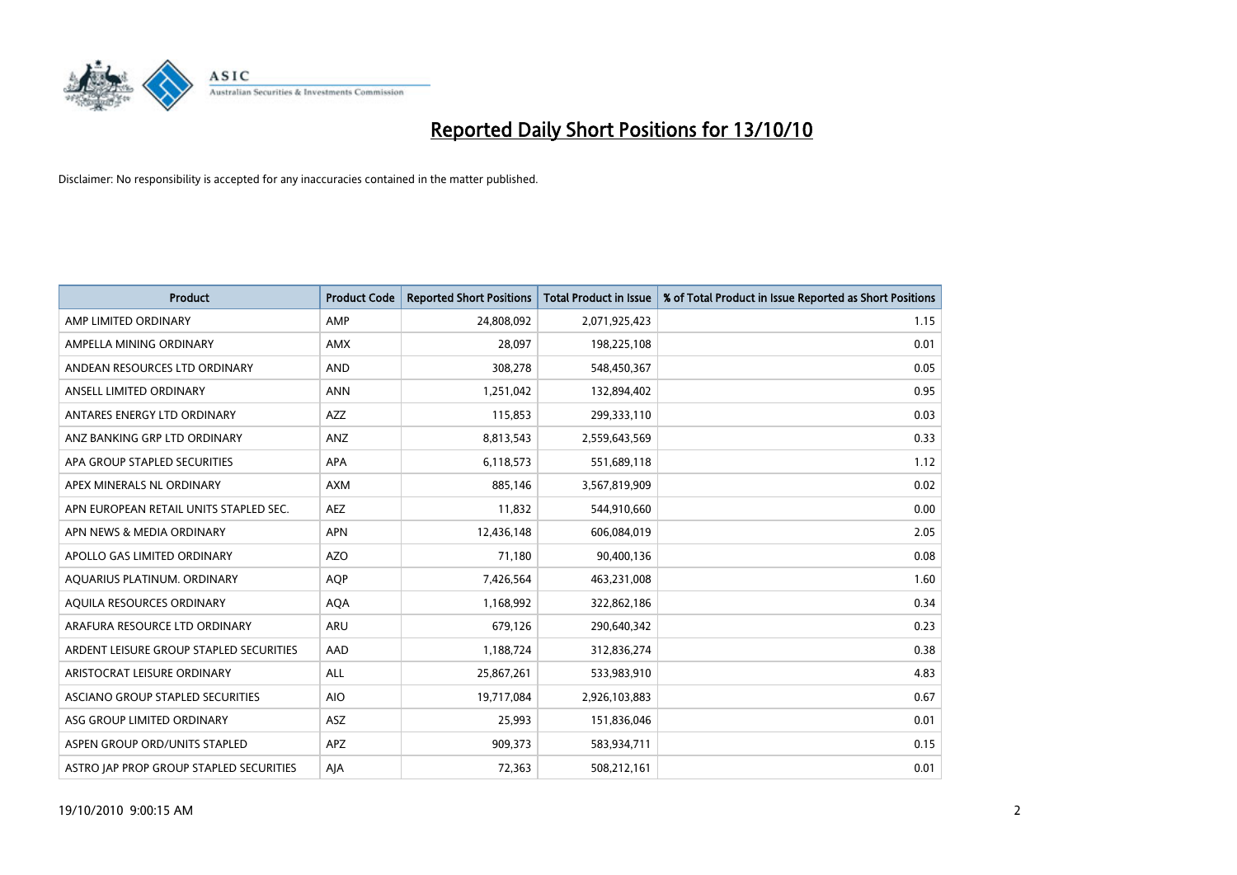

| <b>Product</b>                          | <b>Product Code</b> | <b>Reported Short Positions</b> | Total Product in Issue | % of Total Product in Issue Reported as Short Positions |
|-----------------------------------------|---------------------|---------------------------------|------------------------|---------------------------------------------------------|
| AMP LIMITED ORDINARY                    | AMP                 | 24,808,092                      | 2,071,925,423          | 1.15                                                    |
| AMPELLA MINING ORDINARY                 | AMX                 | 28,097                          | 198,225,108            | 0.01                                                    |
| ANDEAN RESOURCES LTD ORDINARY           | <b>AND</b>          | 308,278                         | 548,450,367            | 0.05                                                    |
| ANSELL LIMITED ORDINARY                 | <b>ANN</b>          | 1,251,042                       | 132,894,402            | 0.95                                                    |
| ANTARES ENERGY LTD ORDINARY             | <b>AZZ</b>          | 115,853                         | 299,333,110            | 0.03                                                    |
| ANZ BANKING GRP LTD ORDINARY            | ANZ                 | 8,813,543                       | 2,559,643,569          | 0.33                                                    |
| APA GROUP STAPLED SECURITIES            | <b>APA</b>          | 6,118,573                       | 551,689,118            | 1.12                                                    |
| APEX MINERALS NL ORDINARY               | <b>AXM</b>          | 885,146                         | 3,567,819,909          | 0.02                                                    |
| APN EUROPEAN RETAIL UNITS STAPLED SEC.  | <b>AEZ</b>          | 11,832                          | 544,910,660            | 0.00                                                    |
| APN NEWS & MEDIA ORDINARY               | <b>APN</b>          | 12,436,148                      | 606,084,019            | 2.05                                                    |
| APOLLO GAS LIMITED ORDINARY             | <b>AZO</b>          | 71,180                          | 90,400,136             | 0.08                                                    |
| AQUARIUS PLATINUM. ORDINARY             | <b>AOP</b>          | 7,426,564                       | 463,231,008            | 1.60                                                    |
| AQUILA RESOURCES ORDINARY               | <b>AQA</b>          | 1,168,992                       | 322,862,186            | 0.34                                                    |
| ARAFURA RESOURCE LTD ORDINARY           | <b>ARU</b>          | 679,126                         | 290,640,342            | 0.23                                                    |
| ARDENT LEISURE GROUP STAPLED SECURITIES | AAD                 | 1,188,724                       | 312,836,274            | 0.38                                                    |
| ARISTOCRAT LEISURE ORDINARY             | ALL                 | 25,867,261                      | 533,983,910            | 4.83                                                    |
| ASCIANO GROUP STAPLED SECURITIES        | <b>AIO</b>          | 19,717,084                      | 2,926,103,883          | 0.67                                                    |
| ASG GROUP LIMITED ORDINARY              | <b>ASZ</b>          | 25,993                          | 151,836,046            | 0.01                                                    |
| ASPEN GROUP ORD/UNITS STAPLED           | <b>APZ</b>          | 909,373                         | 583,934,711            | 0.15                                                    |
| ASTRO JAP PROP GROUP STAPLED SECURITIES | AJA                 | 72,363                          | 508,212,161            | 0.01                                                    |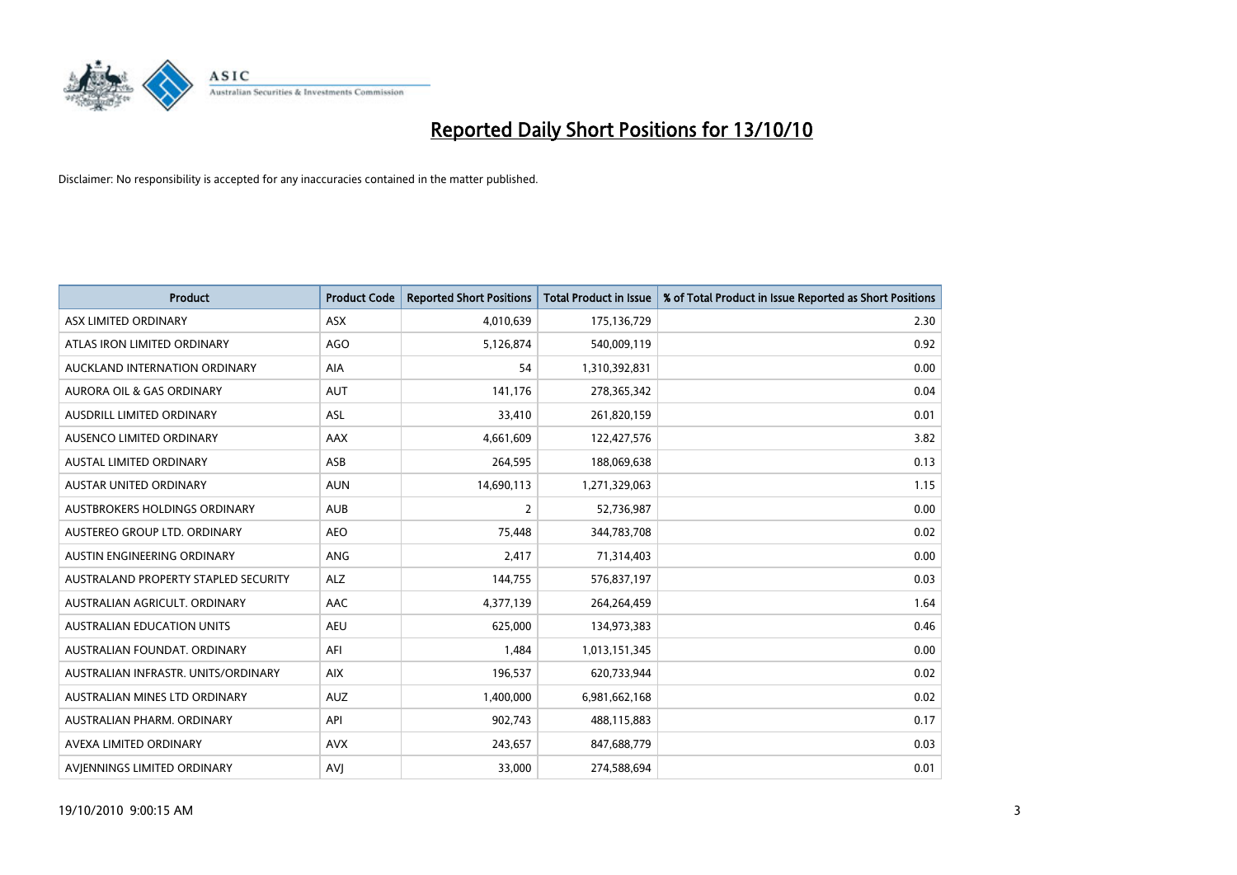

| <b>Product</b>                       | <b>Product Code</b> | <b>Reported Short Positions</b> | Total Product in Issue | % of Total Product in Issue Reported as Short Positions |
|--------------------------------------|---------------------|---------------------------------|------------------------|---------------------------------------------------------|
| ASX LIMITED ORDINARY                 | <b>ASX</b>          | 4,010,639                       | 175,136,729            | 2.30                                                    |
| ATLAS IRON LIMITED ORDINARY          | AGO                 | 5,126,874                       | 540,009,119            | 0.92                                                    |
| AUCKLAND INTERNATION ORDINARY        | AIA                 | 54                              | 1,310,392,831          | 0.00                                                    |
| AURORA OIL & GAS ORDINARY            | <b>AUT</b>          | 141,176                         | 278,365,342            | 0.04                                                    |
| AUSDRILL LIMITED ORDINARY            | <b>ASL</b>          | 33,410                          | 261,820,159            | 0.01                                                    |
| AUSENCO LIMITED ORDINARY             | AAX                 | 4,661,609                       | 122,427,576            | 3.82                                                    |
| <b>AUSTAL LIMITED ORDINARY</b>       | ASB                 | 264,595                         | 188,069,638            | 0.13                                                    |
| <b>AUSTAR UNITED ORDINARY</b>        | <b>AUN</b>          | 14,690,113                      | 1,271,329,063          | 1.15                                                    |
| AUSTBROKERS HOLDINGS ORDINARY        | <b>AUB</b>          | 2                               | 52,736,987             | 0.00                                                    |
| AUSTEREO GROUP LTD. ORDINARY         | <b>AEO</b>          | 75,448                          | 344,783,708            | 0.02                                                    |
| AUSTIN ENGINEERING ORDINARY          | ANG                 | 2,417                           | 71,314,403             | 0.00                                                    |
| AUSTRALAND PROPERTY STAPLED SECURITY | <b>ALZ</b>          | 144,755                         | 576,837,197            | 0.03                                                    |
| AUSTRALIAN AGRICULT, ORDINARY        | AAC                 | 4,377,139                       | 264,264,459            | 1.64                                                    |
| <b>AUSTRALIAN EDUCATION UNITS</b>    | <b>AEU</b>          | 625,000                         | 134,973,383            | 0.46                                                    |
| AUSTRALIAN FOUNDAT, ORDINARY         | AFI                 | 1,484                           | 1,013,151,345          | 0.00                                                    |
| AUSTRALIAN INFRASTR. UNITS/ORDINARY  | <b>AIX</b>          | 196,537                         | 620,733,944            | 0.02                                                    |
| AUSTRALIAN MINES LTD ORDINARY        | <b>AUZ</b>          | 1,400,000                       | 6,981,662,168          | 0.02                                                    |
| AUSTRALIAN PHARM. ORDINARY           | API                 | 902,743                         | 488,115,883            | 0.17                                                    |
| AVEXA LIMITED ORDINARY               | <b>AVX</b>          | 243,657                         | 847,688,779            | 0.03                                                    |
| AVIENNINGS LIMITED ORDINARY          | <b>AVI</b>          | 33,000                          | 274,588,694            | 0.01                                                    |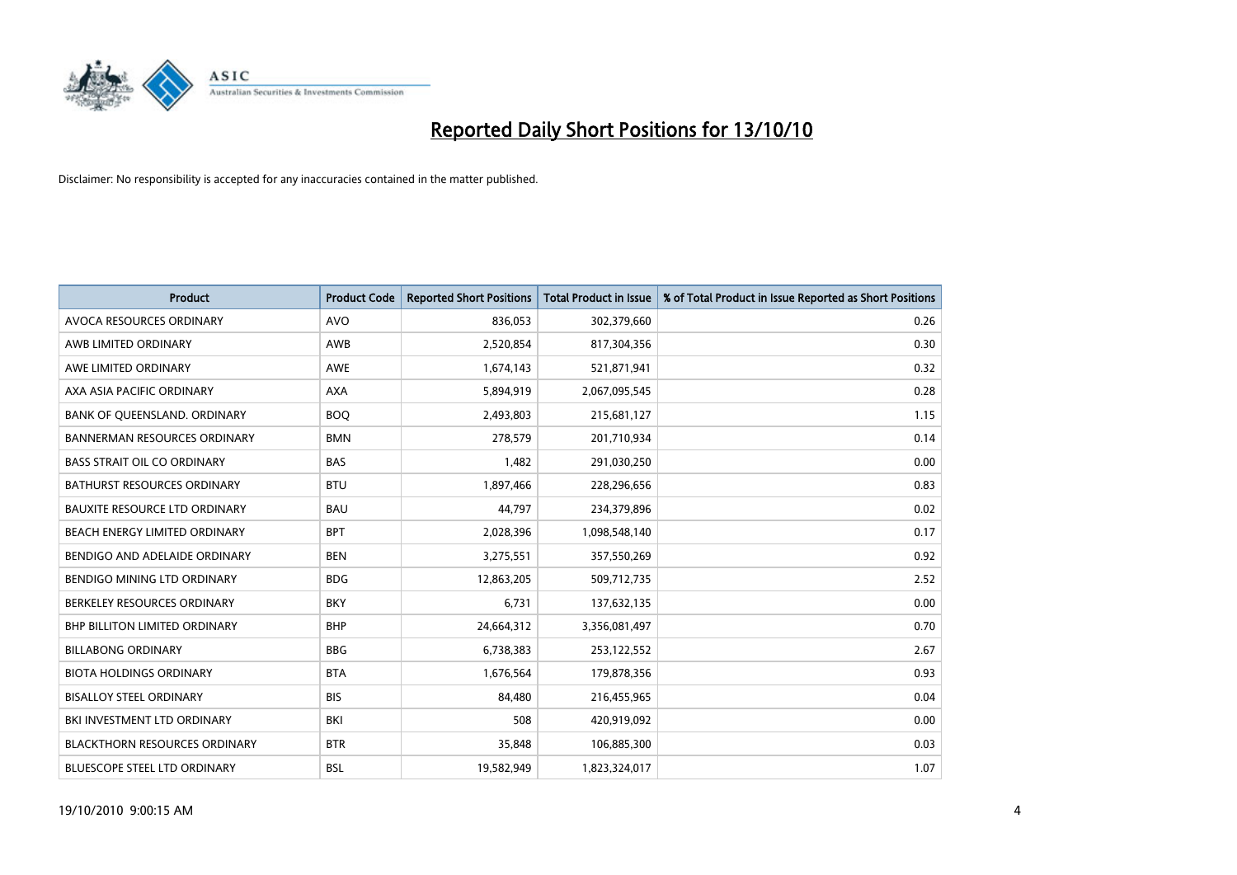

| <b>Product</b>                       | <b>Product Code</b> | <b>Reported Short Positions</b> | <b>Total Product in Issue</b> | % of Total Product in Issue Reported as Short Positions |
|--------------------------------------|---------------------|---------------------------------|-------------------------------|---------------------------------------------------------|
| AVOCA RESOURCES ORDINARY             | <b>AVO</b>          | 836,053                         | 302,379,660                   | 0.26                                                    |
| AWB LIMITED ORDINARY                 | AWB                 | 2,520,854                       | 817,304,356                   | 0.30                                                    |
| AWE LIMITED ORDINARY                 | AWE                 | 1,674,143                       | 521,871,941                   | 0.32                                                    |
| AXA ASIA PACIFIC ORDINARY            | <b>AXA</b>          | 5,894,919                       | 2,067,095,545                 | 0.28                                                    |
| BANK OF QUEENSLAND. ORDINARY         | <b>BOQ</b>          | 2,493,803                       | 215,681,127                   | 1.15                                                    |
| <b>BANNERMAN RESOURCES ORDINARY</b>  | <b>BMN</b>          | 278,579                         | 201,710,934                   | 0.14                                                    |
| <b>BASS STRAIT OIL CO ORDINARY</b>   | <b>BAS</b>          | 1,482                           | 291,030,250                   | 0.00                                                    |
| BATHURST RESOURCES ORDINARY          | <b>BTU</b>          | 1,897,466                       | 228,296,656                   | 0.83                                                    |
| BAUXITE RESOURCE LTD ORDINARY        | <b>BAU</b>          | 44,797                          | 234,379,896                   | 0.02                                                    |
| BEACH ENERGY LIMITED ORDINARY        | <b>BPT</b>          | 2,028,396                       | 1,098,548,140                 | 0.17                                                    |
| BENDIGO AND ADELAIDE ORDINARY        | <b>BEN</b>          | 3,275,551                       | 357,550,269                   | 0.92                                                    |
| BENDIGO MINING LTD ORDINARY          | <b>BDG</b>          | 12,863,205                      | 509,712,735                   | 2.52                                                    |
| BERKELEY RESOURCES ORDINARY          | <b>BKY</b>          | 6,731                           | 137,632,135                   | 0.00                                                    |
| <b>BHP BILLITON LIMITED ORDINARY</b> | <b>BHP</b>          | 24,664,312                      | 3,356,081,497                 | 0.70                                                    |
| <b>BILLABONG ORDINARY</b>            | <b>BBG</b>          | 6,738,383                       | 253,122,552                   | 2.67                                                    |
| <b>BIOTA HOLDINGS ORDINARY</b>       | <b>BTA</b>          | 1,676,564                       | 179,878,356                   | 0.93                                                    |
| <b>BISALLOY STEEL ORDINARY</b>       | <b>BIS</b>          | 84,480                          | 216,455,965                   | 0.04                                                    |
| <b>BKI INVESTMENT LTD ORDINARY</b>   | BKI                 | 508                             | 420,919,092                   | 0.00                                                    |
| <b>BLACKTHORN RESOURCES ORDINARY</b> | <b>BTR</b>          | 35,848                          | 106,885,300                   | 0.03                                                    |
| <b>BLUESCOPE STEEL LTD ORDINARY</b>  | <b>BSL</b>          | 19,582,949                      | 1,823,324,017                 | 1.07                                                    |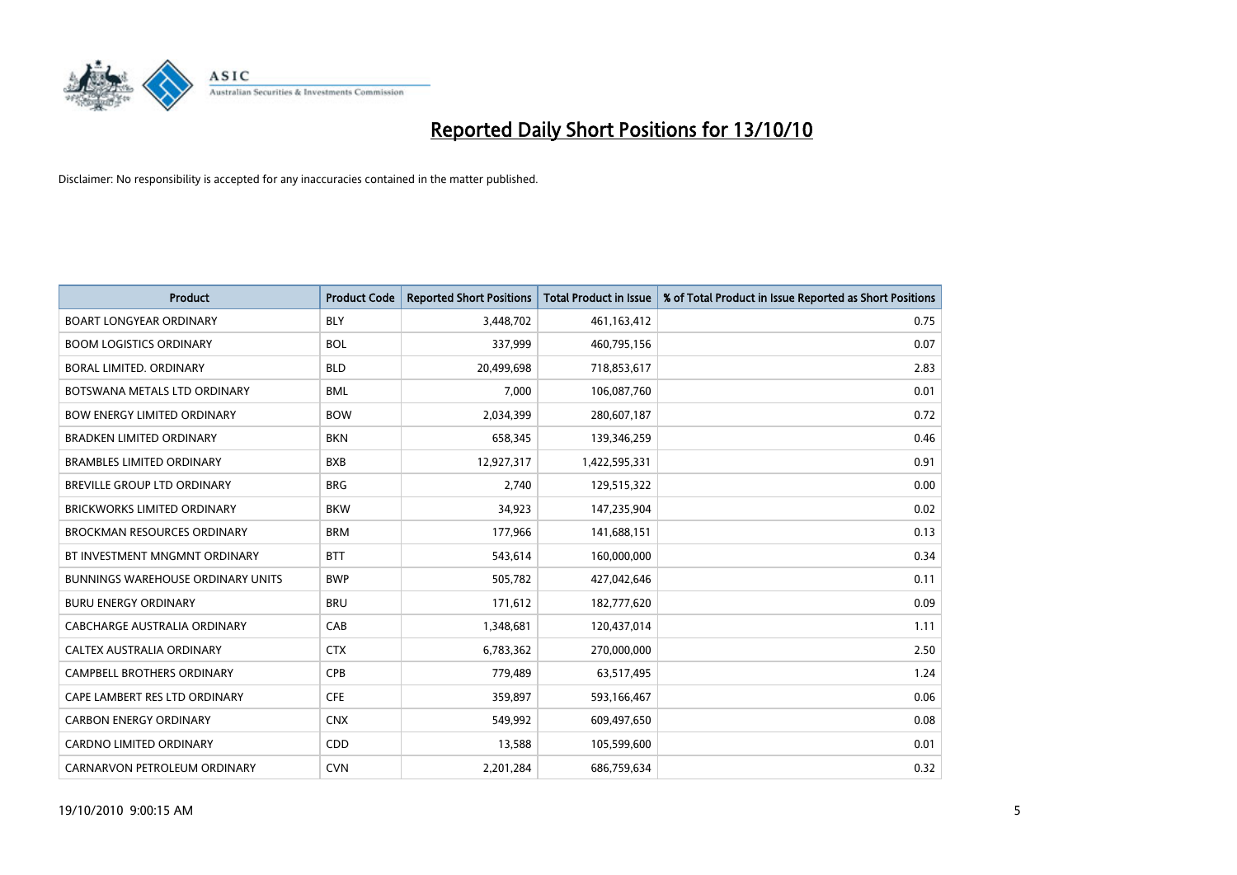

| <b>Product</b>                           | <b>Product Code</b> | <b>Reported Short Positions</b> | <b>Total Product in Issue</b> | % of Total Product in Issue Reported as Short Positions |
|------------------------------------------|---------------------|---------------------------------|-------------------------------|---------------------------------------------------------|
| <b>BOART LONGYEAR ORDINARY</b>           | <b>BLY</b>          | 3,448,702                       | 461,163,412                   | 0.75                                                    |
| <b>BOOM LOGISTICS ORDINARY</b>           | <b>BOL</b>          | 337,999                         | 460,795,156                   | 0.07                                                    |
| <b>BORAL LIMITED, ORDINARY</b>           | <b>BLD</b>          | 20,499,698                      | 718,853,617                   | 2.83                                                    |
| BOTSWANA METALS LTD ORDINARY             | <b>BML</b>          | 7,000                           | 106,087,760                   | 0.01                                                    |
| <b>BOW ENERGY LIMITED ORDINARY</b>       | <b>BOW</b>          | 2,034,399                       | 280,607,187                   | 0.72                                                    |
| <b>BRADKEN LIMITED ORDINARY</b>          | <b>BKN</b>          | 658,345                         | 139,346,259                   | 0.46                                                    |
| <b>BRAMBLES LIMITED ORDINARY</b>         | <b>BXB</b>          | 12,927,317                      | 1,422,595,331                 | 0.91                                                    |
| BREVILLE GROUP LTD ORDINARY              | <b>BRG</b>          | 2,740                           | 129,515,322                   | 0.00                                                    |
| BRICKWORKS LIMITED ORDINARY              | <b>BKW</b>          | 34,923                          | 147,235,904                   | 0.02                                                    |
| <b>BROCKMAN RESOURCES ORDINARY</b>       | <b>BRM</b>          | 177,966                         | 141,688,151                   | 0.13                                                    |
| BT INVESTMENT MNGMNT ORDINARY            | <b>BTT</b>          | 543,614                         | 160,000,000                   | 0.34                                                    |
| <b>BUNNINGS WAREHOUSE ORDINARY UNITS</b> | <b>BWP</b>          | 505,782                         | 427,042,646                   | 0.11                                                    |
| <b>BURU ENERGY ORDINARY</b>              | <b>BRU</b>          | 171,612                         | 182,777,620                   | 0.09                                                    |
| CABCHARGE AUSTRALIA ORDINARY             | CAB                 | 1,348,681                       | 120,437,014                   | 1.11                                                    |
| CALTEX AUSTRALIA ORDINARY                | <b>CTX</b>          | 6,783,362                       | 270,000,000                   | 2.50                                                    |
| CAMPBELL BROTHERS ORDINARY               | <b>CPB</b>          | 779,489                         | 63,517,495                    | 1.24                                                    |
| CAPE LAMBERT RES LTD ORDINARY            | <b>CFE</b>          | 359,897                         | 593,166,467                   | 0.06                                                    |
| <b>CARBON ENERGY ORDINARY</b>            | <b>CNX</b>          | 549,992                         | 609,497,650                   | 0.08                                                    |
| <b>CARDNO LIMITED ORDINARY</b>           | CDD                 | 13,588                          | 105,599,600                   | 0.01                                                    |
| CARNARVON PETROLEUM ORDINARY             | <b>CVN</b>          | 2,201,284                       | 686,759,634                   | 0.32                                                    |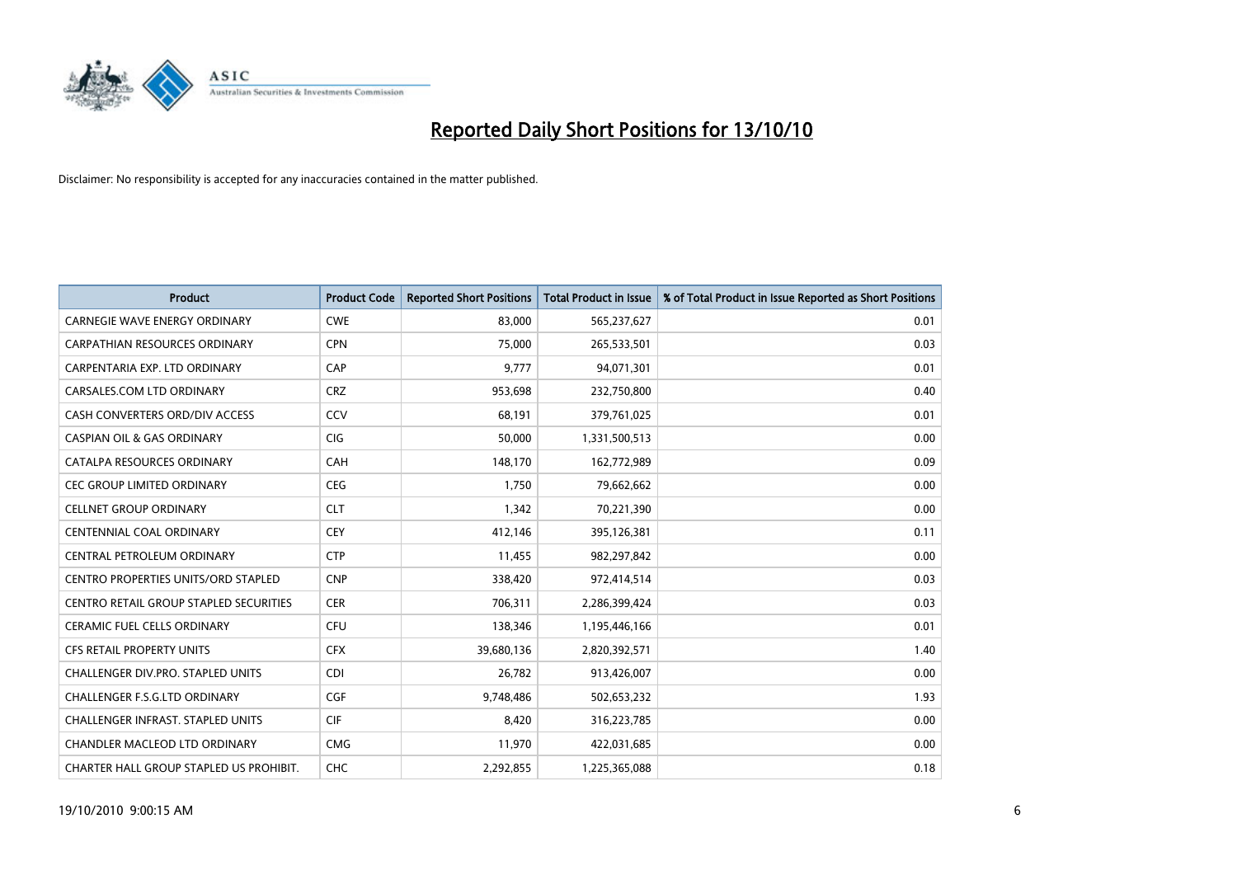

| <b>Product</b>                                | <b>Product Code</b> | <b>Reported Short Positions</b> | <b>Total Product in Issue</b> | % of Total Product in Issue Reported as Short Positions |
|-----------------------------------------------|---------------------|---------------------------------|-------------------------------|---------------------------------------------------------|
| CARNEGIE WAVE ENERGY ORDINARY                 | <b>CWE</b>          | 83,000                          | 565,237,627                   | 0.01                                                    |
| CARPATHIAN RESOURCES ORDINARY                 | <b>CPN</b>          | 75,000                          | 265,533,501                   | 0.03                                                    |
| CARPENTARIA EXP. LTD ORDINARY                 | CAP                 | 9,777                           | 94,071,301                    | 0.01                                                    |
| CARSALES.COM LTD ORDINARY                     | <b>CRZ</b>          | 953,698                         | 232,750,800                   | 0.40                                                    |
| CASH CONVERTERS ORD/DIV ACCESS                | CCV                 | 68,191                          | 379,761,025                   | 0.01                                                    |
| <b>CASPIAN OIL &amp; GAS ORDINARY</b>         | <b>CIG</b>          | 50,000                          | 1,331,500,513                 | 0.00                                                    |
| CATALPA RESOURCES ORDINARY                    | CAH                 | 148,170                         | 162,772,989                   | 0.09                                                    |
| <b>CEC GROUP LIMITED ORDINARY</b>             | <b>CEG</b>          | 1,750                           | 79,662,662                    | 0.00                                                    |
| <b>CELLNET GROUP ORDINARY</b>                 | <b>CLT</b>          | 1,342                           | 70,221,390                    | 0.00                                                    |
| CENTENNIAL COAL ORDINARY                      | <b>CEY</b>          | 412,146                         | 395,126,381                   | 0.11                                                    |
| CENTRAL PETROLEUM ORDINARY                    | <b>CTP</b>          | 11,455                          | 982,297,842                   | 0.00                                                    |
| CENTRO PROPERTIES UNITS/ORD STAPLED           | <b>CNP</b>          | 338,420                         | 972,414,514                   | 0.03                                                    |
| <b>CENTRO RETAIL GROUP STAPLED SECURITIES</b> | <b>CER</b>          | 706,311                         | 2,286,399,424                 | 0.03                                                    |
| <b>CERAMIC FUEL CELLS ORDINARY</b>            | CFU                 | 138,346                         | 1,195,446,166                 | 0.01                                                    |
| <b>CFS RETAIL PROPERTY UNITS</b>              | <b>CFX</b>          | 39,680,136                      | 2,820,392,571                 | 1.40                                                    |
| <b>CHALLENGER DIV.PRO. STAPLED UNITS</b>      | <b>CDI</b>          | 26,782                          | 913,426,007                   | 0.00                                                    |
| <b>CHALLENGER F.S.G.LTD ORDINARY</b>          | CGF                 | 9,748,486                       | 502,653,232                   | 1.93                                                    |
| CHALLENGER INFRAST. STAPLED UNITS             | <b>CIF</b>          | 8,420                           | 316,223,785                   | 0.00                                                    |
| <b>CHANDLER MACLEOD LTD ORDINARY</b>          | <b>CMG</b>          | 11,970                          | 422,031,685                   | 0.00                                                    |
| CHARTER HALL GROUP STAPLED US PROHIBIT.       | <b>CHC</b>          | 2,292,855                       | 1,225,365,088                 | 0.18                                                    |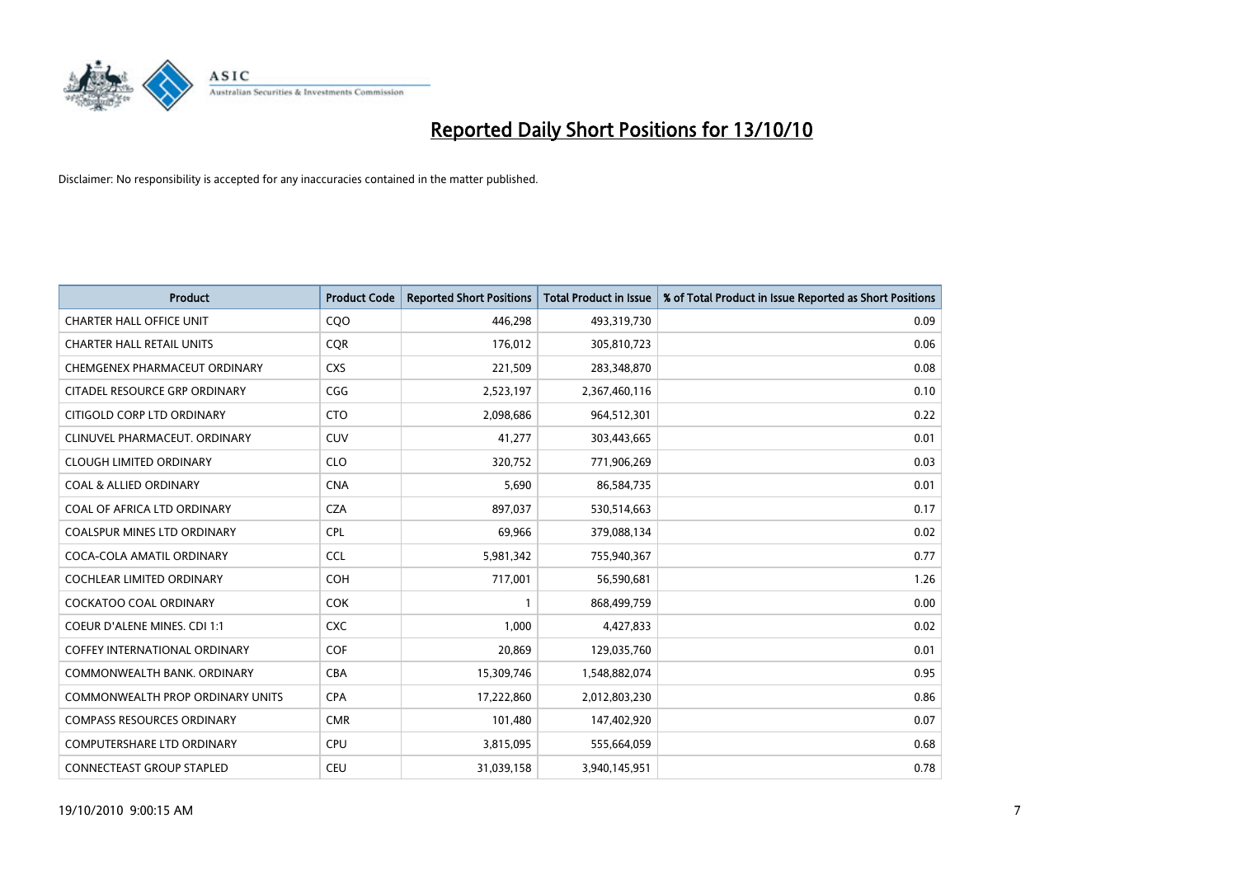

| <b>Product</b>                       | <b>Product Code</b> | <b>Reported Short Positions</b> | Total Product in Issue | % of Total Product in Issue Reported as Short Positions |
|--------------------------------------|---------------------|---------------------------------|------------------------|---------------------------------------------------------|
| <b>CHARTER HALL OFFICE UNIT</b>      | COO                 | 446,298                         | 493,319,730            | 0.09                                                    |
| <b>CHARTER HALL RETAIL UNITS</b>     | <b>COR</b>          | 176,012                         | 305,810,723            | 0.06                                                    |
| CHEMGENEX PHARMACEUT ORDINARY        | <b>CXS</b>          | 221,509                         | 283,348,870            | 0.08                                                    |
| CITADEL RESOURCE GRP ORDINARY        | CGG                 | 2,523,197                       | 2,367,460,116          | 0.10                                                    |
| CITIGOLD CORP LTD ORDINARY           | <b>CTO</b>          | 2,098,686                       | 964,512,301            | 0.22                                                    |
| CLINUVEL PHARMACEUT, ORDINARY        | CUV                 | 41,277                          | 303,443,665            | 0.01                                                    |
| <b>CLOUGH LIMITED ORDINARY</b>       | <b>CLO</b>          | 320,752                         | 771,906,269            | 0.03                                                    |
| <b>COAL &amp; ALLIED ORDINARY</b>    | <b>CNA</b>          | 5,690                           | 86,584,735             | 0.01                                                    |
| COAL OF AFRICA LTD ORDINARY          | <b>CZA</b>          | 897,037                         | 530,514,663            | 0.17                                                    |
| <b>COALSPUR MINES LTD ORDINARY</b>   | <b>CPL</b>          | 69,966                          | 379,088,134            | 0.02                                                    |
| COCA-COLA AMATIL ORDINARY            | <b>CCL</b>          | 5,981,342                       | 755,940,367            | 0.77                                                    |
| <b>COCHLEAR LIMITED ORDINARY</b>     | <b>COH</b>          | 717,001                         | 56,590,681             | 1.26                                                    |
| COCKATOO COAL ORDINARY               | <b>COK</b>          |                                 | 868,499,759            | 0.00                                                    |
| COEUR D'ALENE MINES. CDI 1:1         | <b>CXC</b>          | 1,000                           | 4,427,833              | 0.02                                                    |
| <b>COFFEY INTERNATIONAL ORDINARY</b> | COF                 | 20,869                          | 129,035,760            | 0.01                                                    |
| COMMONWEALTH BANK, ORDINARY          | <b>CBA</b>          | 15,309,746                      | 1,548,882,074          | 0.95                                                    |
| COMMONWEALTH PROP ORDINARY UNITS     | <b>CPA</b>          | 17,222,860                      | 2,012,803,230          | 0.86                                                    |
| <b>COMPASS RESOURCES ORDINARY</b>    | <b>CMR</b>          | 101,480                         | 147,402,920            | 0.07                                                    |
| <b>COMPUTERSHARE LTD ORDINARY</b>    | <b>CPU</b>          | 3,815,095                       | 555,664,059            | 0.68                                                    |
| <b>CONNECTEAST GROUP STAPLED</b>     | CEU                 | 31,039,158                      | 3,940,145,951          | 0.78                                                    |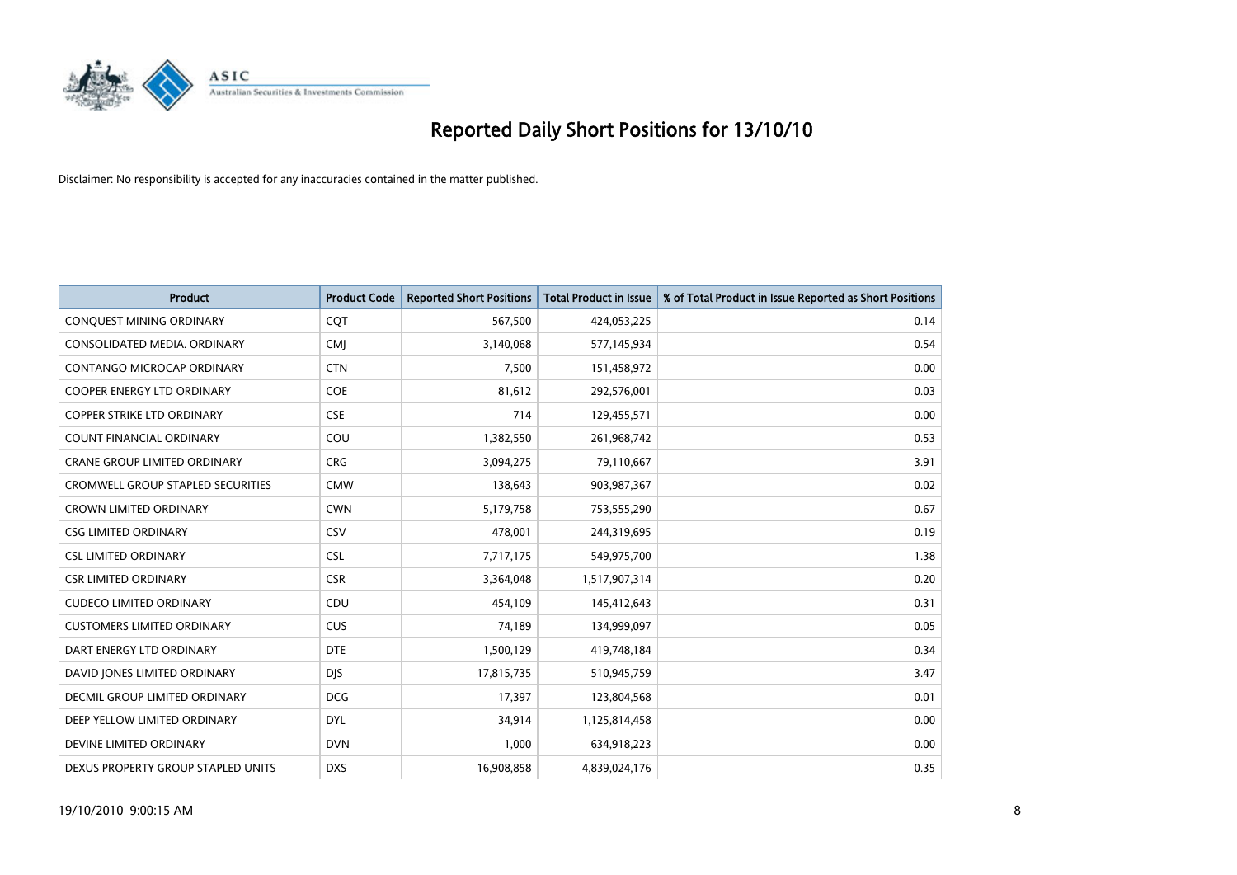

| <b>Product</b>                           | <b>Product Code</b> | <b>Reported Short Positions</b> | <b>Total Product in Issue</b> | % of Total Product in Issue Reported as Short Positions |
|------------------------------------------|---------------------|---------------------------------|-------------------------------|---------------------------------------------------------|
| CONQUEST MINING ORDINARY                 | CQT                 | 567,500                         | 424,053,225                   | 0.14                                                    |
| CONSOLIDATED MEDIA. ORDINARY             | <b>CMI</b>          | 3,140,068                       | 577,145,934                   | 0.54                                                    |
| <b>CONTANGO MICROCAP ORDINARY</b>        | <b>CTN</b>          | 7,500                           | 151,458,972                   | 0.00                                                    |
| COOPER ENERGY LTD ORDINARY               | <b>COE</b>          | 81,612                          | 292,576,001                   | 0.03                                                    |
| <b>COPPER STRIKE LTD ORDINARY</b>        | <b>CSE</b>          | 714                             | 129,455,571                   | 0.00                                                    |
| <b>COUNT FINANCIAL ORDINARY</b>          | COU                 | 1,382,550                       | 261,968,742                   | 0.53                                                    |
| <b>CRANE GROUP LIMITED ORDINARY</b>      | <b>CRG</b>          | 3,094,275                       | 79,110,667                    | 3.91                                                    |
| <b>CROMWELL GROUP STAPLED SECURITIES</b> | <b>CMW</b>          | 138,643                         | 903,987,367                   | 0.02                                                    |
| <b>CROWN LIMITED ORDINARY</b>            | <b>CWN</b>          | 5,179,758                       | 753,555,290                   | 0.67                                                    |
| <b>CSG LIMITED ORDINARY</b>              | CSV                 | 478,001                         | 244,319,695                   | 0.19                                                    |
| <b>CSL LIMITED ORDINARY</b>              | <b>CSL</b>          | 7,717,175                       | 549,975,700                   | 1.38                                                    |
| <b>CSR LIMITED ORDINARY</b>              | <b>CSR</b>          | 3,364,048                       | 1,517,907,314                 | 0.20                                                    |
| <b>CUDECO LIMITED ORDINARY</b>           | CDU                 | 454,109                         | 145,412,643                   | 0.31                                                    |
| <b>CUSTOMERS LIMITED ORDINARY</b>        | CUS                 | 74,189                          | 134,999,097                   | 0.05                                                    |
| DART ENERGY LTD ORDINARY                 | <b>DTE</b>          | 1,500,129                       | 419,748,184                   | 0.34                                                    |
| DAVID JONES LIMITED ORDINARY             | <b>DIS</b>          | 17,815,735                      | 510,945,759                   | 3.47                                                    |
| <b>DECMIL GROUP LIMITED ORDINARY</b>     | <b>DCG</b>          | 17,397                          | 123,804,568                   | 0.01                                                    |
| DEEP YELLOW LIMITED ORDINARY             | <b>DYL</b>          | 34,914                          | 1,125,814,458                 | 0.00                                                    |
| DEVINE LIMITED ORDINARY                  | <b>DVN</b>          | 1,000                           | 634,918,223                   | 0.00                                                    |
| DEXUS PROPERTY GROUP STAPLED UNITS       | <b>DXS</b>          | 16,908,858                      | 4,839,024,176                 | 0.35                                                    |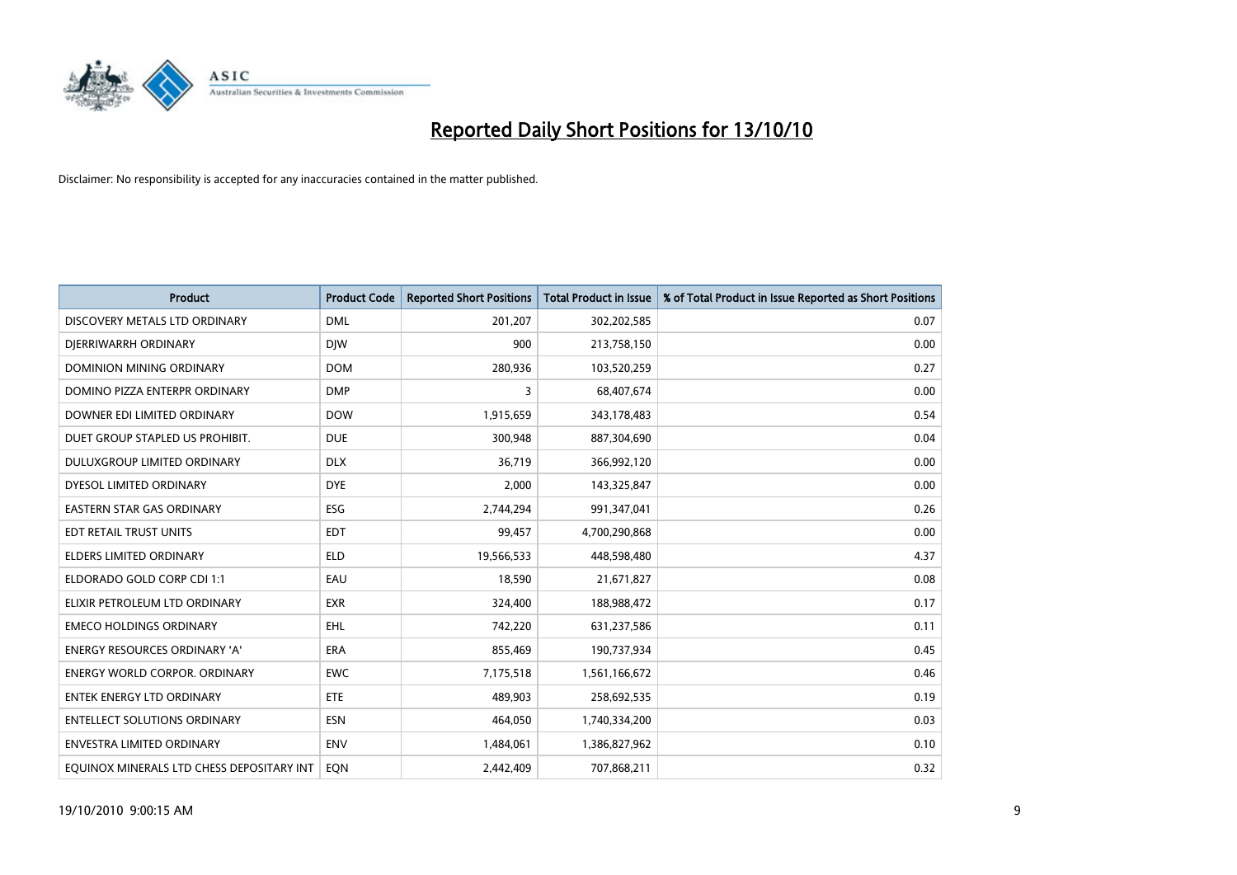

| <b>Product</b>                            | <b>Product Code</b> | <b>Reported Short Positions</b> | <b>Total Product in Issue</b> | % of Total Product in Issue Reported as Short Positions |
|-------------------------------------------|---------------------|---------------------------------|-------------------------------|---------------------------------------------------------|
| DISCOVERY METALS LTD ORDINARY             | <b>DML</b>          | 201,207                         | 302,202,585                   | 0.07                                                    |
| DIERRIWARRH ORDINARY                      | <b>DIW</b>          | 900                             | 213,758,150                   | 0.00                                                    |
| <b>DOMINION MINING ORDINARY</b>           | <b>DOM</b>          | 280,936                         | 103,520,259                   | 0.27                                                    |
| DOMINO PIZZA ENTERPR ORDINARY             | <b>DMP</b>          | 3                               | 68,407,674                    | 0.00                                                    |
| DOWNER EDI LIMITED ORDINARY               | <b>DOW</b>          | 1,915,659                       | 343,178,483                   | 0.54                                                    |
| DUET GROUP STAPLED US PROHIBIT.           | <b>DUE</b>          | 300,948                         | 887,304,690                   | 0.04                                                    |
| DULUXGROUP LIMITED ORDINARY               | <b>DLX</b>          | 36,719                          | 366,992,120                   | 0.00                                                    |
| DYESOL LIMITED ORDINARY                   | <b>DYE</b>          | 2,000                           | 143,325,847                   | 0.00                                                    |
| EASTERN STAR GAS ORDINARY                 | ESG                 | 2,744,294                       | 991,347,041                   | 0.26                                                    |
| EDT RETAIL TRUST UNITS                    | <b>EDT</b>          | 99,457                          | 4,700,290,868                 | 0.00                                                    |
| <b>ELDERS LIMITED ORDINARY</b>            | <b>ELD</b>          | 19,566,533                      | 448,598,480                   | 4.37                                                    |
| ELDORADO GOLD CORP CDI 1:1                | EAU                 | 18,590                          | 21,671,827                    | 0.08                                                    |
| ELIXIR PETROLEUM LTD ORDINARY             | <b>EXR</b>          | 324,400                         | 188,988,472                   | 0.17                                                    |
| <b>EMECO HOLDINGS ORDINARY</b>            | <b>EHL</b>          | 742,220                         | 631,237,586                   | 0.11                                                    |
| <b>ENERGY RESOURCES ORDINARY 'A'</b>      | <b>ERA</b>          | 855,469                         | 190,737,934                   | 0.45                                                    |
| <b>ENERGY WORLD CORPOR. ORDINARY</b>      | <b>EWC</b>          | 7,175,518                       | 1,561,166,672                 | 0.46                                                    |
| <b>ENTEK ENERGY LTD ORDINARY</b>          | ETE                 | 489,903                         | 258,692,535                   | 0.19                                                    |
| <b>ENTELLECT SOLUTIONS ORDINARY</b>       | <b>ESN</b>          | 464,050                         | 1,740,334,200                 | 0.03                                                    |
| <b>ENVESTRA LIMITED ORDINARY</b>          | <b>ENV</b>          | 1,484,061                       | 1,386,827,962                 | 0.10                                                    |
| EQUINOX MINERALS LTD CHESS DEPOSITARY INT | <b>EON</b>          | 2.442.409                       | 707,868,211                   | 0.32                                                    |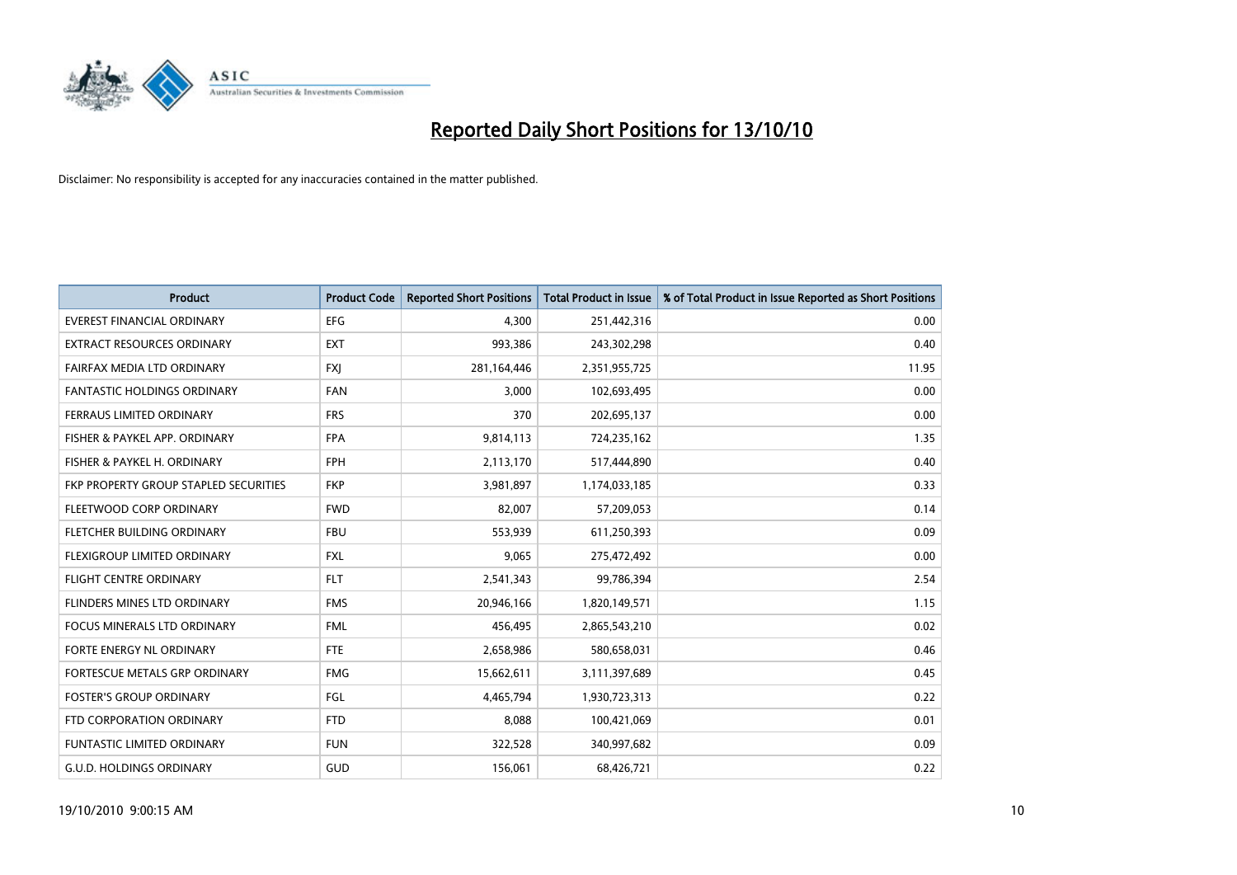

| <b>Product</b>                        | <b>Product Code</b> | <b>Reported Short Positions</b> | Total Product in Issue | % of Total Product in Issue Reported as Short Positions |
|---------------------------------------|---------------------|---------------------------------|------------------------|---------------------------------------------------------|
| <b>EVEREST FINANCIAL ORDINARY</b>     | <b>EFG</b>          | 4,300                           | 251,442,316            | 0.00                                                    |
| EXTRACT RESOURCES ORDINARY            | <b>EXT</b>          | 993,386                         | 243,302,298            | 0.40                                                    |
| FAIRFAX MEDIA LTD ORDINARY            | <b>FXI</b>          | 281,164,446                     | 2,351,955,725          | 11.95                                                   |
| <b>FANTASTIC HOLDINGS ORDINARY</b>    | <b>FAN</b>          | 3,000                           | 102,693,495            | 0.00                                                    |
| FERRAUS LIMITED ORDINARY              | <b>FRS</b>          | 370                             | 202,695,137            | 0.00                                                    |
| FISHER & PAYKEL APP. ORDINARY         | <b>FPA</b>          | 9,814,113                       | 724,235,162            | 1.35                                                    |
| FISHER & PAYKEL H. ORDINARY           | <b>FPH</b>          | 2,113,170                       | 517,444,890            | 0.40                                                    |
| FKP PROPERTY GROUP STAPLED SECURITIES | <b>FKP</b>          | 3,981,897                       | 1,174,033,185          | 0.33                                                    |
| FLEETWOOD CORP ORDINARY               | <b>FWD</b>          | 82,007                          | 57,209,053             | 0.14                                                    |
| FLETCHER BUILDING ORDINARY            | <b>FBU</b>          | 553,939                         | 611,250,393            | 0.09                                                    |
| FLEXIGROUP LIMITED ORDINARY           | <b>FXL</b>          | 9,065                           | 275,472,492            | 0.00                                                    |
| FLIGHT CENTRE ORDINARY                | <b>FLT</b>          | 2,541,343                       | 99,786,394             | 2.54                                                    |
| FLINDERS MINES LTD ORDINARY           | <b>FMS</b>          | 20,946,166                      | 1,820,149,571          | 1.15                                                    |
| <b>FOCUS MINERALS LTD ORDINARY</b>    | <b>FML</b>          | 456,495                         | 2,865,543,210          | 0.02                                                    |
| <b>FORTE ENERGY NL ORDINARY</b>       | <b>FTE</b>          | 2,658,986                       | 580,658,031            | 0.46                                                    |
| FORTESCUE METALS GRP ORDINARY         | <b>FMG</b>          | 15,662,611                      | 3,111,397,689          | 0.45                                                    |
| <b>FOSTER'S GROUP ORDINARY</b>        | FGL                 | 4,465,794                       | 1,930,723,313          | 0.22                                                    |
| FTD CORPORATION ORDINARY              | <b>FTD</b>          | 8,088                           | 100,421,069            | 0.01                                                    |
| <b>FUNTASTIC LIMITED ORDINARY</b>     | <b>FUN</b>          | 322,528                         | 340,997,682            | 0.09                                                    |
| <b>G.U.D. HOLDINGS ORDINARY</b>       | <b>GUD</b>          | 156,061                         | 68,426,721             | 0.22                                                    |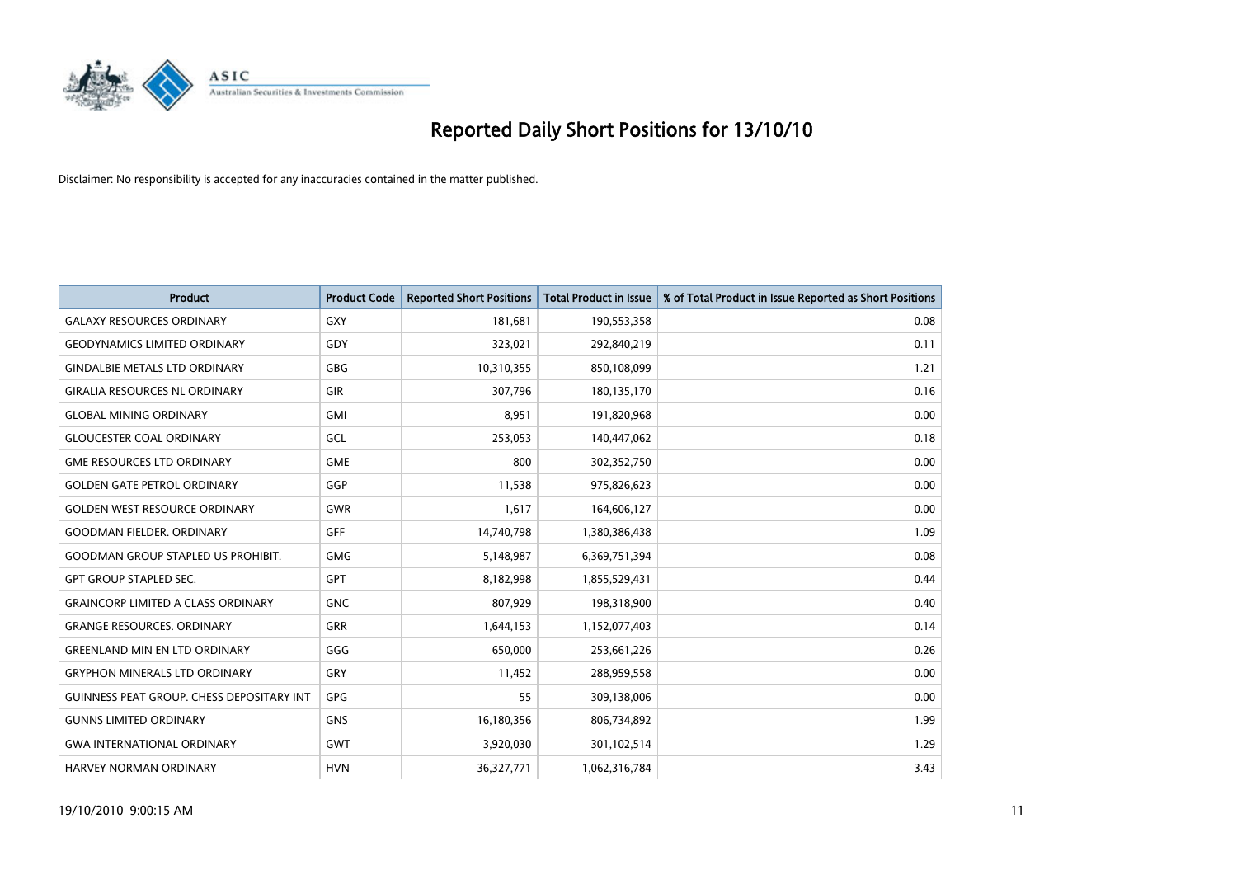

| <b>Product</b>                            | <b>Product Code</b> | <b>Reported Short Positions</b> | <b>Total Product in Issue</b> | % of Total Product in Issue Reported as Short Positions |
|-------------------------------------------|---------------------|---------------------------------|-------------------------------|---------------------------------------------------------|
| <b>GALAXY RESOURCES ORDINARY</b>          | <b>GXY</b>          | 181,681                         | 190,553,358                   | 0.08                                                    |
| <b>GEODYNAMICS LIMITED ORDINARY</b>       | GDY                 | 323,021                         | 292,840,219                   | 0.11                                                    |
| <b>GINDALBIE METALS LTD ORDINARY</b>      | <b>GBG</b>          | 10,310,355                      | 850,108,099                   | 1.21                                                    |
| <b>GIRALIA RESOURCES NL ORDINARY</b>      | <b>GIR</b>          | 307,796                         | 180,135,170                   | 0.16                                                    |
| <b>GLOBAL MINING ORDINARY</b>             | <b>GMI</b>          | 8,951                           | 191,820,968                   | 0.00                                                    |
| <b>GLOUCESTER COAL ORDINARY</b>           | <b>GCL</b>          | 253,053                         | 140,447,062                   | 0.18                                                    |
| <b>GME RESOURCES LTD ORDINARY</b>         | <b>GME</b>          | 800                             | 302,352,750                   | 0.00                                                    |
| <b>GOLDEN GATE PETROL ORDINARY</b>        | GGP                 | 11,538                          | 975,826,623                   | 0.00                                                    |
| <b>GOLDEN WEST RESOURCE ORDINARY</b>      | <b>GWR</b>          | 1,617                           | 164,606,127                   | 0.00                                                    |
| <b>GOODMAN FIELDER, ORDINARY</b>          | <b>GFF</b>          | 14,740,798                      | 1,380,386,438                 | 1.09                                                    |
| <b>GOODMAN GROUP STAPLED US PROHIBIT.</b> | <b>GMG</b>          | 5,148,987                       | 6,369,751,394                 | 0.08                                                    |
| <b>GPT GROUP STAPLED SEC.</b>             | <b>GPT</b>          | 8,182,998                       | 1,855,529,431                 | 0.44                                                    |
| <b>GRAINCORP LIMITED A CLASS ORDINARY</b> | <b>GNC</b>          | 807,929                         | 198,318,900                   | 0.40                                                    |
| <b>GRANGE RESOURCES, ORDINARY</b>         | GRR                 | 1,644,153                       | 1,152,077,403                 | 0.14                                                    |
| <b>GREENLAND MIN EN LTD ORDINARY</b>      | GGG                 | 650,000                         | 253,661,226                   | 0.26                                                    |
| <b>GRYPHON MINERALS LTD ORDINARY</b>      | GRY                 | 11,452                          | 288,959,558                   | 0.00                                                    |
| GUINNESS PEAT GROUP. CHESS DEPOSITARY INT | GPG                 | 55                              | 309,138,006                   | 0.00                                                    |
| <b>GUNNS LIMITED ORDINARY</b>             | <b>GNS</b>          | 16,180,356                      | 806,734,892                   | 1.99                                                    |
| <b>GWA INTERNATIONAL ORDINARY</b>         | <b>GWT</b>          | 3,920,030                       | 301,102,514                   | 1.29                                                    |
| <b>HARVEY NORMAN ORDINARY</b>             | <b>HVN</b>          | 36,327,771                      | 1,062,316,784                 | 3.43                                                    |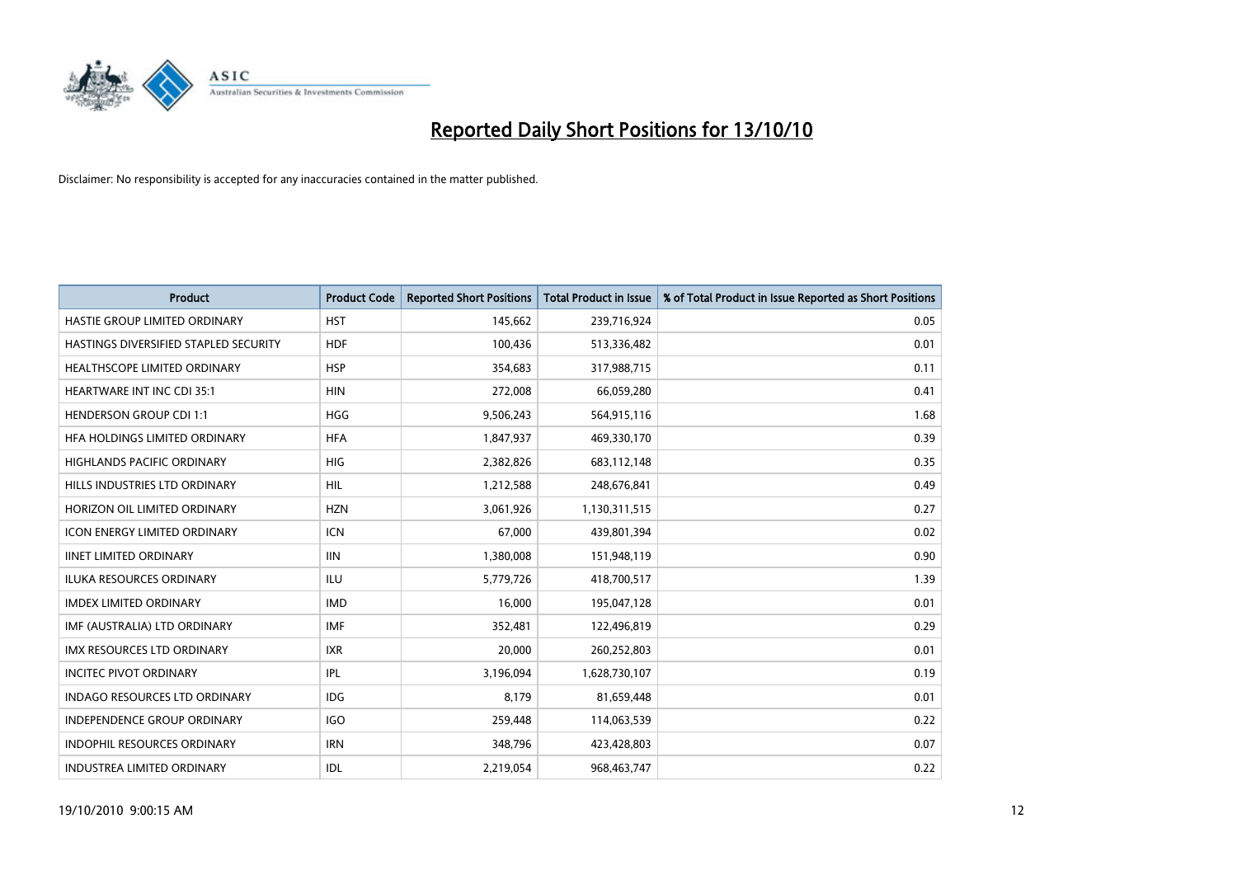

| <b>Product</b>                        | <b>Product Code</b> | <b>Reported Short Positions</b> | Total Product in Issue | % of Total Product in Issue Reported as Short Positions |
|---------------------------------------|---------------------|---------------------------------|------------------------|---------------------------------------------------------|
| HASTIE GROUP LIMITED ORDINARY         | <b>HST</b>          | 145,662                         | 239,716,924            | 0.05                                                    |
| HASTINGS DIVERSIFIED STAPLED SECURITY | <b>HDF</b>          | 100,436                         | 513,336,482            | 0.01                                                    |
| <b>HEALTHSCOPE LIMITED ORDINARY</b>   | <b>HSP</b>          | 354,683                         | 317,988,715            | 0.11                                                    |
| HEARTWARE INT INC CDI 35:1            | <b>HIN</b>          | 272,008                         | 66,059,280             | 0.41                                                    |
| <b>HENDERSON GROUP CDI 1:1</b>        | <b>HGG</b>          | 9,506,243                       | 564,915,116            | 1.68                                                    |
| HFA HOLDINGS LIMITED ORDINARY         | <b>HFA</b>          | 1,847,937                       | 469,330,170            | 0.39                                                    |
| <b>HIGHLANDS PACIFIC ORDINARY</b>     | <b>HIG</b>          | 2,382,826                       | 683,112,148            | 0.35                                                    |
| HILLS INDUSTRIES LTD ORDINARY         | <b>HIL</b>          | 1,212,588                       | 248,676,841            | 0.49                                                    |
| HORIZON OIL LIMITED ORDINARY          | <b>HZN</b>          | 3,061,926                       | 1,130,311,515          | 0.27                                                    |
| <b>ICON ENERGY LIMITED ORDINARY</b>   | <b>ICN</b>          | 67,000                          | 439,801,394            | 0.02                                                    |
| <b>IINET LIMITED ORDINARY</b>         | <b>IIN</b>          | 1,380,008                       | 151,948,119            | 0.90                                                    |
| <b>ILUKA RESOURCES ORDINARY</b>       | <b>ILU</b>          | 5,779,726                       | 418,700,517            | 1.39                                                    |
| <b>IMDEX LIMITED ORDINARY</b>         | <b>IMD</b>          | 16,000                          | 195,047,128            | 0.01                                                    |
| IMF (AUSTRALIA) LTD ORDINARY          | <b>IMF</b>          | 352,481                         | 122,496,819            | 0.29                                                    |
| <b>IMX RESOURCES LTD ORDINARY</b>     | <b>IXR</b>          | 20,000                          | 260,252,803            | 0.01                                                    |
| <b>INCITEC PIVOT ORDINARY</b>         | <b>IPL</b>          | 3,196,094                       | 1,628,730,107          | 0.19                                                    |
| <b>INDAGO RESOURCES LTD ORDINARY</b>  | <b>IDG</b>          | 8,179                           | 81,659,448             | 0.01                                                    |
| INDEPENDENCE GROUP ORDINARY           | <b>IGO</b>          | 259,448                         | 114,063,539            | 0.22                                                    |
| <b>INDOPHIL RESOURCES ORDINARY</b>    | <b>IRN</b>          | 348,796                         | 423,428,803            | 0.07                                                    |
| <b>INDUSTREA LIMITED ORDINARY</b>     | IDL                 | 2,219,054                       | 968,463,747            | 0.22                                                    |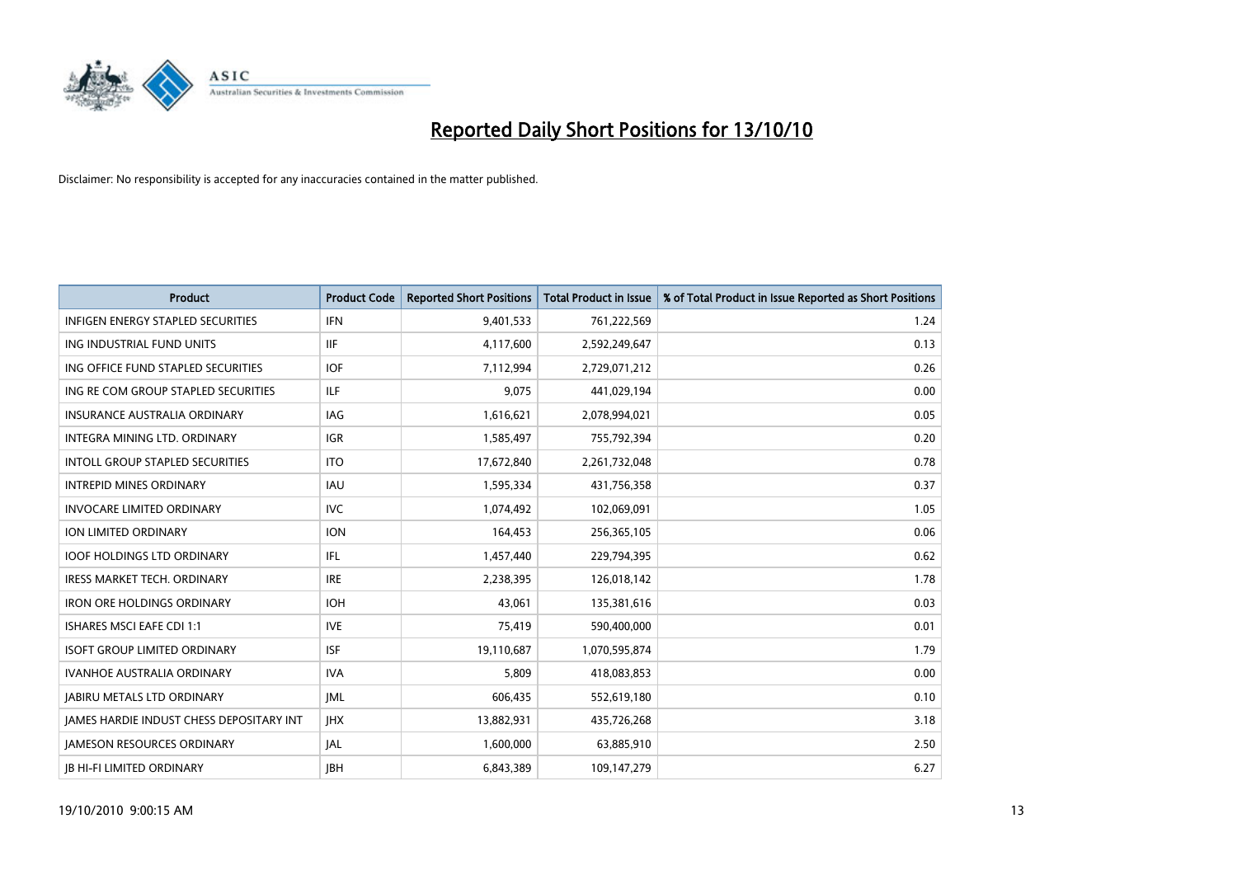

| <b>Product</b>                                  | <b>Product Code</b> | <b>Reported Short Positions</b> | <b>Total Product in Issue</b> | % of Total Product in Issue Reported as Short Positions |
|-------------------------------------------------|---------------------|---------------------------------|-------------------------------|---------------------------------------------------------|
| <b>INFIGEN ENERGY STAPLED SECURITIES</b>        | <b>IFN</b>          | 9,401,533                       | 761,222,569                   | 1.24                                                    |
| ING INDUSTRIAL FUND UNITS                       | IIF                 | 4,117,600                       | 2,592,249,647                 | 0.13                                                    |
| ING OFFICE FUND STAPLED SECURITIES              | <b>IOF</b>          | 7,112,994                       | 2,729,071,212                 | 0.26                                                    |
| ING RE COM GROUP STAPLED SECURITIES             | <b>ILF</b>          | 9,075                           | 441,029,194                   | 0.00                                                    |
| <b>INSURANCE AUSTRALIA ORDINARY</b>             | IAG                 | 1,616,621                       | 2,078,994,021                 | 0.05                                                    |
| INTEGRA MINING LTD. ORDINARY                    | <b>IGR</b>          | 1,585,497                       | 755,792,394                   | 0.20                                                    |
| <b>INTOLL GROUP STAPLED SECURITIES</b>          | <b>ITO</b>          | 17,672,840                      | 2,261,732,048                 | 0.78                                                    |
| <b>INTREPID MINES ORDINARY</b>                  | <b>IAU</b>          | 1,595,334                       | 431,756,358                   | 0.37                                                    |
| <b>INVOCARE LIMITED ORDINARY</b>                | <b>IVC</b>          | 1,074,492                       | 102,069,091                   | 1.05                                                    |
| ION LIMITED ORDINARY                            | <b>ION</b>          | 164,453                         | 256,365,105                   | 0.06                                                    |
| <b>IOOF HOLDINGS LTD ORDINARY</b>               | IFL.                | 1,457,440                       | 229,794,395                   | 0.62                                                    |
| <b>IRESS MARKET TECH. ORDINARY</b>              | <b>IRE</b>          | 2,238,395                       | 126,018,142                   | 1.78                                                    |
| <b>IRON ORE HOLDINGS ORDINARY</b>               | <b>IOH</b>          | 43.061                          | 135,381,616                   | 0.03                                                    |
| <b>ISHARES MSCI EAFE CDI 1:1</b>                | <b>IVE</b>          | 75,419                          | 590,400,000                   | 0.01                                                    |
| <b>ISOFT GROUP LIMITED ORDINARY</b>             | <b>ISF</b>          | 19,110,687                      | 1,070,595,874                 | 1.79                                                    |
| IVANHOE AUSTRALIA ORDINARY                      | <b>IVA</b>          | 5,809                           | 418,083,853                   | 0.00                                                    |
| <b>JABIRU METALS LTD ORDINARY</b>               | <b>JML</b>          | 606,435                         | 552,619,180                   | 0.10                                                    |
| <b>JAMES HARDIE INDUST CHESS DEPOSITARY INT</b> | JHX                 | 13,882,931                      | 435,726,268                   | 3.18                                                    |
| <b>IAMESON RESOURCES ORDINARY</b>               | <b>JAL</b>          | 1,600,000                       | 63,885,910                    | 2.50                                                    |
| <b>JB HI-FI LIMITED ORDINARY</b>                | <b>IBH</b>          | 6,843,389                       | 109,147,279                   | 6.27                                                    |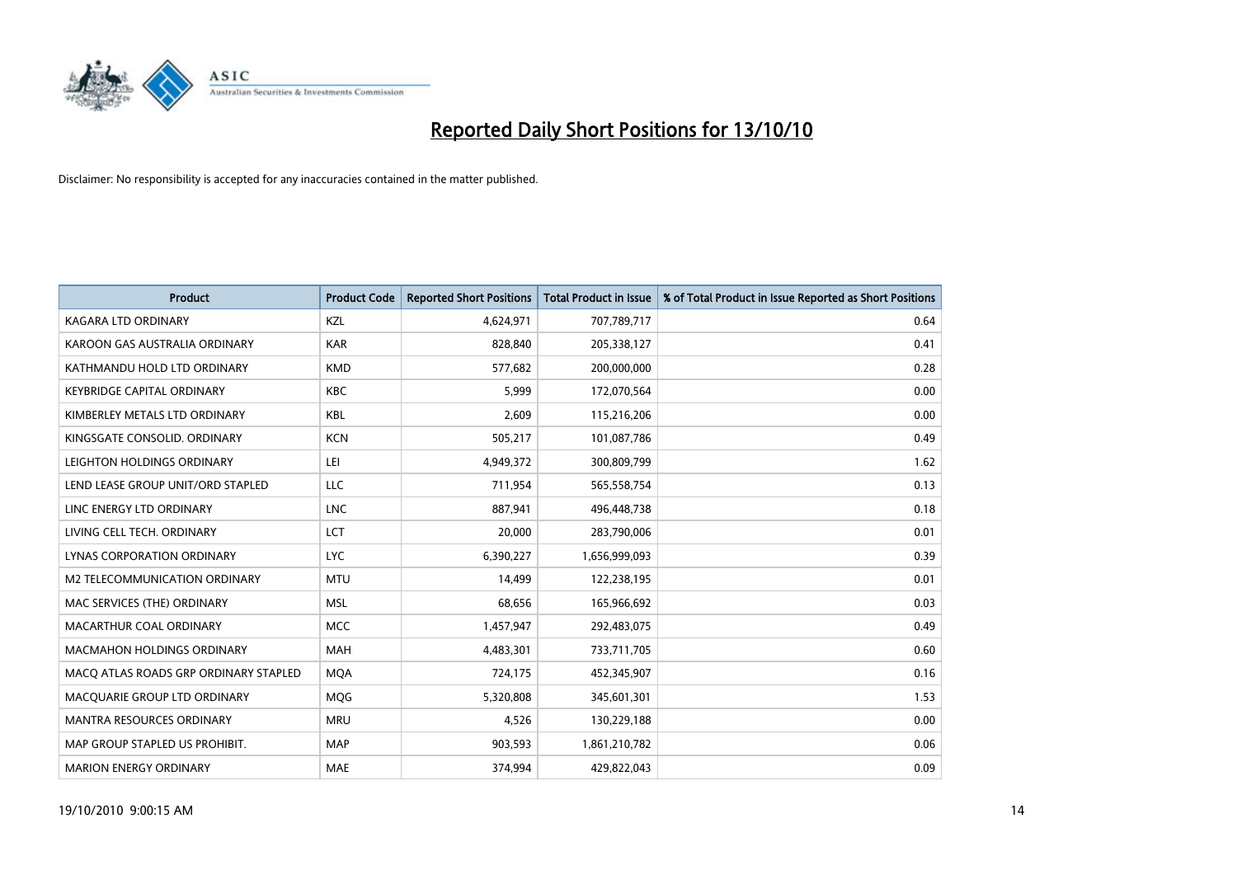

| <b>Product</b>                        | <b>Product Code</b> | <b>Reported Short Positions</b> | Total Product in Issue | % of Total Product in Issue Reported as Short Positions |
|---------------------------------------|---------------------|---------------------------------|------------------------|---------------------------------------------------------|
| <b>KAGARA LTD ORDINARY</b>            | KZL                 | 4,624,971                       | 707,789,717            | 0.64                                                    |
| KAROON GAS AUSTRALIA ORDINARY         | <b>KAR</b>          | 828,840                         | 205,338,127            | 0.41                                                    |
| KATHMANDU HOLD LTD ORDINARY           | <b>KMD</b>          | 577,682                         | 200,000,000            | 0.28                                                    |
| <b>KEYBRIDGE CAPITAL ORDINARY</b>     | <b>KBC</b>          | 5,999                           | 172,070,564            | 0.00                                                    |
| KIMBERLEY METALS LTD ORDINARY         | <b>KBL</b>          | 2,609                           | 115,216,206            | 0.00                                                    |
| KINGSGATE CONSOLID, ORDINARY          | <b>KCN</b>          | 505,217                         | 101,087,786            | 0.49                                                    |
| LEIGHTON HOLDINGS ORDINARY            | LEI                 | 4,949,372                       | 300,809,799            | 1.62                                                    |
| LEND LEASE GROUP UNIT/ORD STAPLED     | LLC                 | 711,954                         | 565,558,754            | 0.13                                                    |
| LINC ENERGY LTD ORDINARY              | <b>LNC</b>          | 887.941                         | 496,448,738            | 0.18                                                    |
| LIVING CELL TECH. ORDINARY            | LCT                 | 20,000                          | 283,790,006            | 0.01                                                    |
| LYNAS CORPORATION ORDINARY            | <b>LYC</b>          | 6,390,227                       | 1,656,999,093          | 0.39                                                    |
| M2 TELECOMMUNICATION ORDINARY         | <b>MTU</b>          | 14,499                          | 122,238,195            | 0.01                                                    |
| MAC SERVICES (THE) ORDINARY           | <b>MSL</b>          | 68,656                          | 165,966,692            | 0.03                                                    |
| MACARTHUR COAL ORDINARY               | <b>MCC</b>          | 1,457,947                       | 292,483,075            | 0.49                                                    |
| <b>MACMAHON HOLDINGS ORDINARY</b>     | <b>MAH</b>          | 4,483,301                       | 733,711,705            | 0.60                                                    |
| MACO ATLAS ROADS GRP ORDINARY STAPLED | <b>MOA</b>          | 724,175                         | 452,345,907            | 0.16                                                    |
| MACQUARIE GROUP LTD ORDINARY          | <b>MQG</b>          | 5,320,808                       | 345,601,301            | 1.53                                                    |
| MANTRA RESOURCES ORDINARY             | <b>MRU</b>          | 4,526                           | 130,229,188            | 0.00                                                    |
| MAP GROUP STAPLED US PROHIBIT.        | <b>MAP</b>          | 903,593                         | 1,861,210,782          | 0.06                                                    |
| <b>MARION ENERGY ORDINARY</b>         | <b>MAE</b>          | 374,994                         | 429,822,043            | 0.09                                                    |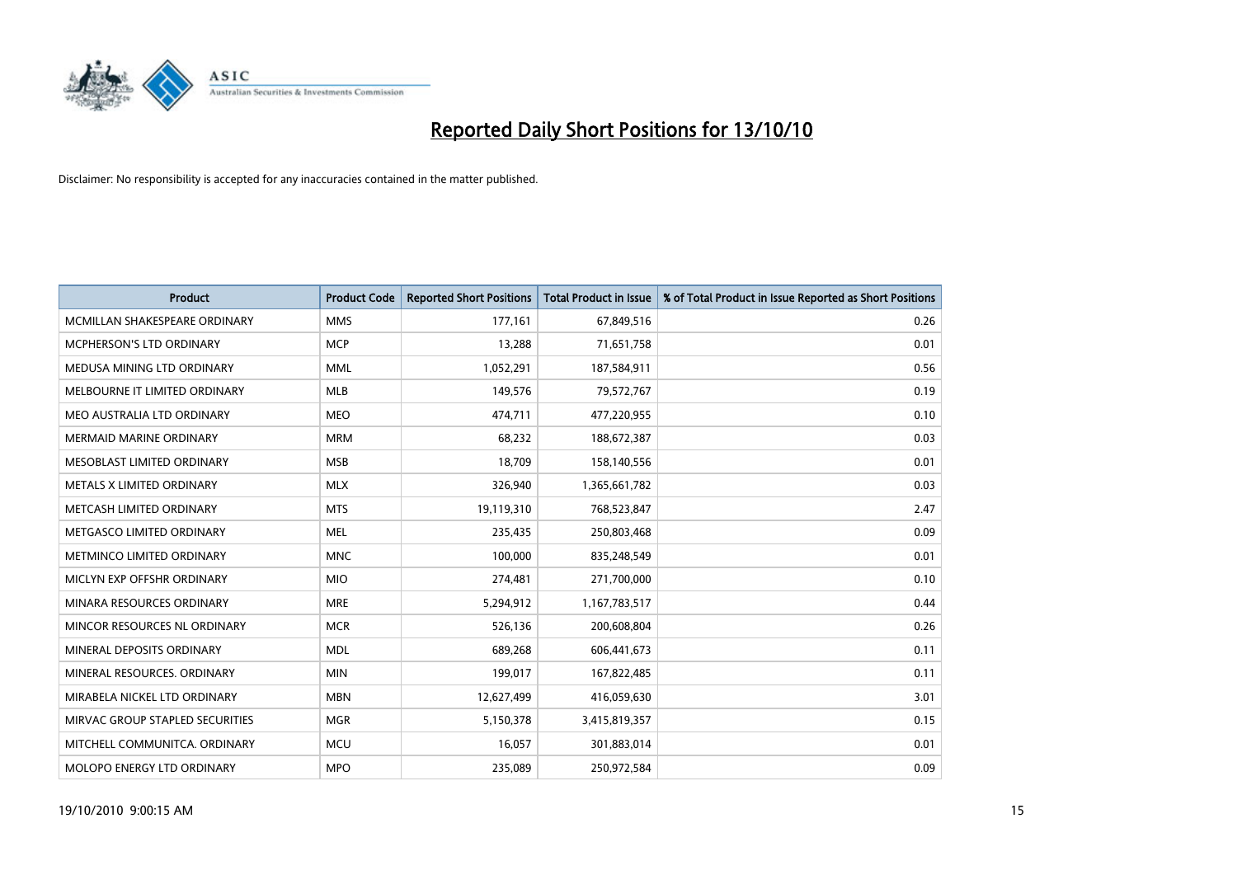

| <b>Product</b>                  | <b>Product Code</b> | <b>Reported Short Positions</b> | <b>Total Product in Issue</b> | % of Total Product in Issue Reported as Short Positions |
|---------------------------------|---------------------|---------------------------------|-------------------------------|---------------------------------------------------------|
| MCMILLAN SHAKESPEARE ORDINARY   | <b>MMS</b>          | 177,161                         | 67,849,516                    | 0.26                                                    |
| MCPHERSON'S LTD ORDINARY        | <b>MCP</b>          | 13,288                          | 71,651,758                    | 0.01                                                    |
| MEDUSA MINING LTD ORDINARY      | <b>MML</b>          | 1,052,291                       | 187,584,911                   | 0.56                                                    |
| MELBOURNE IT LIMITED ORDINARY   | <b>MLB</b>          | 149,576                         | 79,572,767                    | 0.19                                                    |
| MEO AUSTRALIA LTD ORDINARY      | <b>MEO</b>          | 474,711                         | 477,220,955                   | 0.10                                                    |
| <b>MERMAID MARINE ORDINARY</b>  | <b>MRM</b>          | 68,232                          | 188,672,387                   | 0.03                                                    |
| MESOBLAST LIMITED ORDINARY      | <b>MSB</b>          | 18,709                          | 158,140,556                   | 0.01                                                    |
| METALS X LIMITED ORDINARY       | <b>MLX</b>          | 326,940                         | 1,365,661,782                 | 0.03                                                    |
| METCASH LIMITED ORDINARY        | <b>MTS</b>          | 19,119,310                      | 768,523,847                   | 2.47                                                    |
| METGASCO LIMITED ORDINARY       | <b>MEL</b>          | 235,435                         | 250,803,468                   | 0.09                                                    |
| METMINCO LIMITED ORDINARY       | <b>MNC</b>          | 100,000                         | 835,248,549                   | 0.01                                                    |
| MICLYN EXP OFFSHR ORDINARY      | <b>MIO</b>          | 274,481                         | 271,700,000                   | 0.10                                                    |
| MINARA RESOURCES ORDINARY       | <b>MRE</b>          | 5,294,912                       | 1,167,783,517                 | 0.44                                                    |
| MINCOR RESOURCES NL ORDINARY    | <b>MCR</b>          | 526,136                         | 200,608,804                   | 0.26                                                    |
| MINERAL DEPOSITS ORDINARY       | <b>MDL</b>          | 689,268                         | 606,441,673                   | 0.11                                                    |
| MINERAL RESOURCES. ORDINARY     | <b>MIN</b>          | 199,017                         | 167,822,485                   | 0.11                                                    |
| MIRABELA NICKEL LTD ORDINARY    | <b>MBN</b>          | 12,627,499                      | 416,059,630                   | 3.01                                                    |
| MIRVAC GROUP STAPLED SECURITIES | <b>MGR</b>          | 5,150,378                       | 3,415,819,357                 | 0.15                                                    |
| MITCHELL COMMUNITCA, ORDINARY   | <b>MCU</b>          | 16,057                          | 301,883,014                   | 0.01                                                    |
| MOLOPO ENERGY LTD ORDINARY      | <b>MPO</b>          | 235,089                         | 250,972,584                   | 0.09                                                    |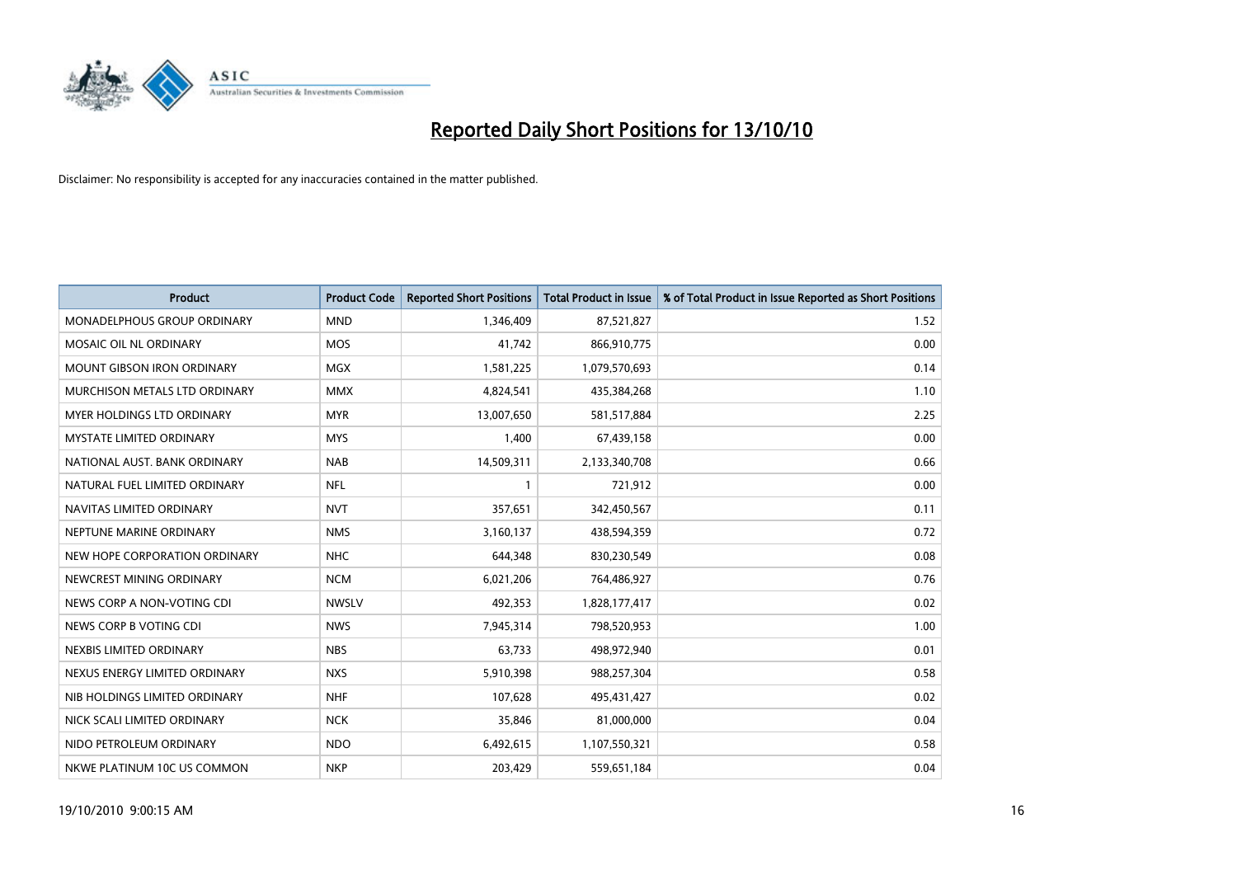

| <b>Product</b>                    | <b>Product Code</b> | <b>Reported Short Positions</b> | <b>Total Product in Issue</b> | % of Total Product in Issue Reported as Short Positions |
|-----------------------------------|---------------------|---------------------------------|-------------------------------|---------------------------------------------------------|
| MONADELPHOUS GROUP ORDINARY       | <b>MND</b>          | 1.346.409                       | 87,521,827                    | 1.52                                                    |
| <b>MOSAIC OIL NL ORDINARY</b>     | <b>MOS</b>          | 41,742                          | 866,910,775                   | 0.00                                                    |
| <b>MOUNT GIBSON IRON ORDINARY</b> | <b>MGX</b>          | 1,581,225                       | 1,079,570,693                 | 0.14                                                    |
| MURCHISON METALS LTD ORDINARY     | <b>MMX</b>          | 4,824,541                       | 435,384,268                   | 1.10                                                    |
| MYER HOLDINGS LTD ORDINARY        | <b>MYR</b>          | 13,007,650                      | 581,517,884                   | 2.25                                                    |
| <b>MYSTATE LIMITED ORDINARY</b>   | <b>MYS</b>          | 1,400                           | 67,439,158                    | 0.00                                                    |
| NATIONAL AUST. BANK ORDINARY      | <b>NAB</b>          | 14,509,311                      | 2,133,340,708                 | 0.66                                                    |
| NATURAL FUEL LIMITED ORDINARY     | <b>NFL</b>          |                                 | 721,912                       | 0.00                                                    |
| NAVITAS LIMITED ORDINARY          | <b>NVT</b>          | 357,651                         | 342,450,567                   | 0.11                                                    |
| NEPTUNE MARINE ORDINARY           | <b>NMS</b>          | 3,160,137                       | 438,594,359                   | 0.72                                                    |
| NEW HOPE CORPORATION ORDINARY     | <b>NHC</b>          | 644,348                         | 830,230,549                   | 0.08                                                    |
| NEWCREST MINING ORDINARY          | <b>NCM</b>          | 6,021,206                       | 764,486,927                   | 0.76                                                    |
| NEWS CORP A NON-VOTING CDI        | <b>NWSLV</b>        | 492,353                         | 1,828,177,417                 | 0.02                                                    |
| NEWS CORP B VOTING CDI            | <b>NWS</b>          | 7,945,314                       | 798,520,953                   | 1.00                                                    |
| NEXBIS LIMITED ORDINARY           | <b>NBS</b>          | 63.733                          | 498,972,940                   | 0.01                                                    |
| NEXUS ENERGY LIMITED ORDINARY     | <b>NXS</b>          | 5,910,398                       | 988,257,304                   | 0.58                                                    |
| NIB HOLDINGS LIMITED ORDINARY     | <b>NHF</b>          | 107,628                         | 495,431,427                   | 0.02                                                    |
| NICK SCALI LIMITED ORDINARY       | <b>NCK</b>          | 35,846                          | 81,000,000                    | 0.04                                                    |
| NIDO PETROLEUM ORDINARY           | <b>NDO</b>          | 6,492,615                       | 1,107,550,321                 | 0.58                                                    |
| NKWE PLATINUM 10C US COMMON       | <b>NKP</b>          | 203,429                         | 559,651,184                   | 0.04                                                    |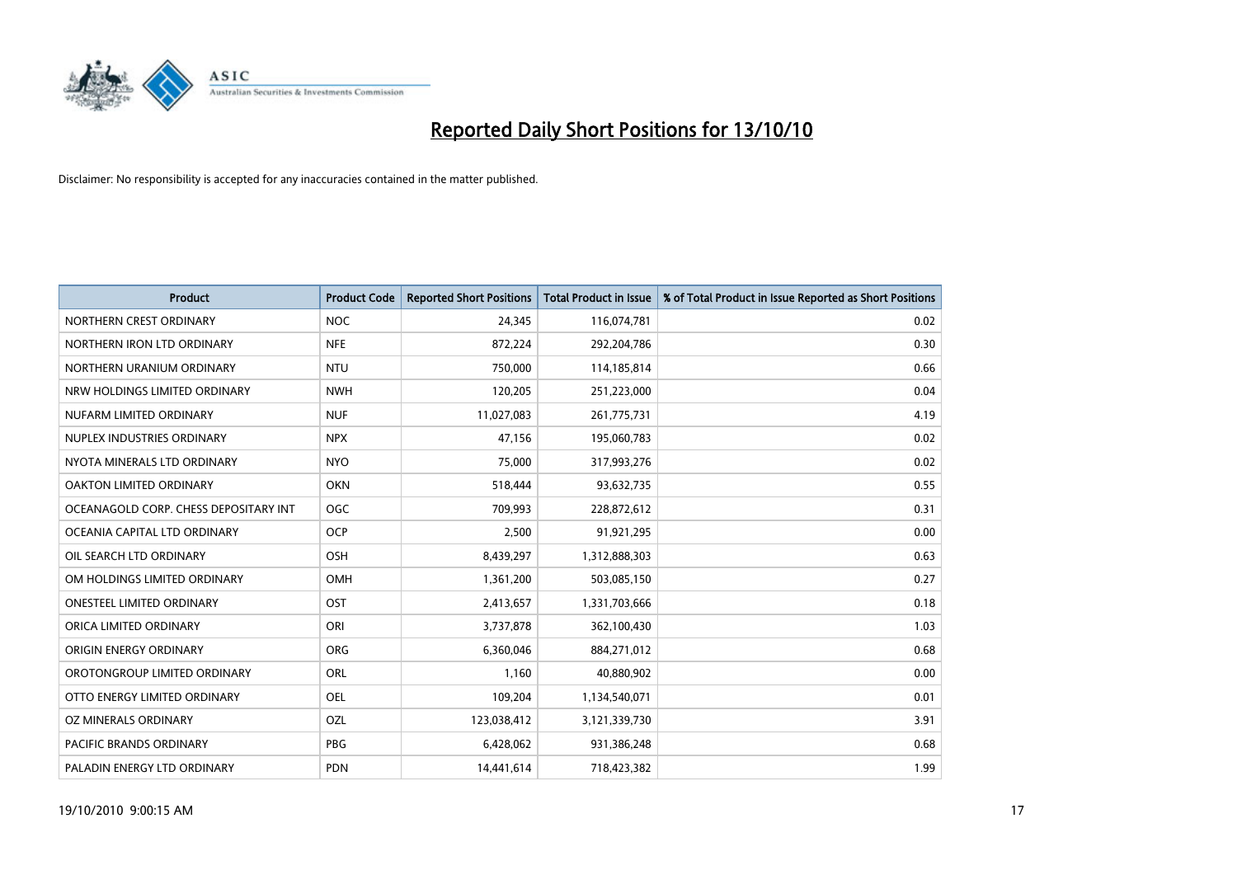

| <b>Product</b>                        | <b>Product Code</b> | <b>Reported Short Positions</b> | Total Product in Issue | % of Total Product in Issue Reported as Short Positions |
|---------------------------------------|---------------------|---------------------------------|------------------------|---------------------------------------------------------|
| NORTHERN CREST ORDINARY               | <b>NOC</b>          | 24,345                          | 116,074,781            | 0.02                                                    |
| NORTHERN IRON LTD ORDINARY            | <b>NFE</b>          | 872,224                         | 292,204,786            | 0.30                                                    |
| NORTHERN URANIUM ORDINARY             | <b>NTU</b>          | 750,000                         | 114,185,814            | 0.66                                                    |
| NRW HOLDINGS LIMITED ORDINARY         | <b>NWH</b>          | 120,205                         | 251,223,000            | 0.04                                                    |
| NUFARM LIMITED ORDINARY               | <b>NUF</b>          | 11,027,083                      | 261,775,731            | 4.19                                                    |
| NUPLEX INDUSTRIES ORDINARY            | <b>NPX</b>          | 47.156                          | 195,060,783            | 0.02                                                    |
| NYOTA MINERALS LTD ORDINARY           | <b>NYO</b>          | 75,000                          | 317,993,276            | 0.02                                                    |
| OAKTON LIMITED ORDINARY               | <b>OKN</b>          | 518,444                         | 93,632,735             | 0.55                                                    |
| OCEANAGOLD CORP. CHESS DEPOSITARY INT | OGC                 | 709,993                         | 228,872,612            | 0.31                                                    |
| OCEANIA CAPITAL LTD ORDINARY          | <b>OCP</b>          | 2,500                           | 91,921,295             | 0.00                                                    |
| OIL SEARCH LTD ORDINARY               | <b>OSH</b>          | 8,439,297                       | 1,312,888,303          | 0.63                                                    |
| OM HOLDINGS LIMITED ORDINARY          | <b>OMH</b>          | 1,361,200                       | 503,085,150            | 0.27                                                    |
| <b>ONESTEEL LIMITED ORDINARY</b>      | OST                 | 2,413,657                       | 1,331,703,666          | 0.18                                                    |
| ORICA LIMITED ORDINARY                | ORI                 | 3,737,878                       | 362,100,430            | 1.03                                                    |
| ORIGIN ENERGY ORDINARY                | <b>ORG</b>          | 6,360,046                       | 884,271,012            | 0.68                                                    |
| OROTONGROUP LIMITED ORDINARY          | <b>ORL</b>          | 1.160                           | 40,880,902             | 0.00                                                    |
| OTTO ENERGY LIMITED ORDINARY          | <b>OEL</b>          | 109,204                         | 1,134,540,071          | 0.01                                                    |
| OZ MINERALS ORDINARY                  | OZL                 | 123,038,412                     | 3,121,339,730          | 3.91                                                    |
| <b>PACIFIC BRANDS ORDINARY</b>        | <b>PBG</b>          | 6,428,062                       | 931,386,248            | 0.68                                                    |
| PALADIN ENERGY LTD ORDINARY           | <b>PDN</b>          | 14,441,614                      | 718,423,382            | 1.99                                                    |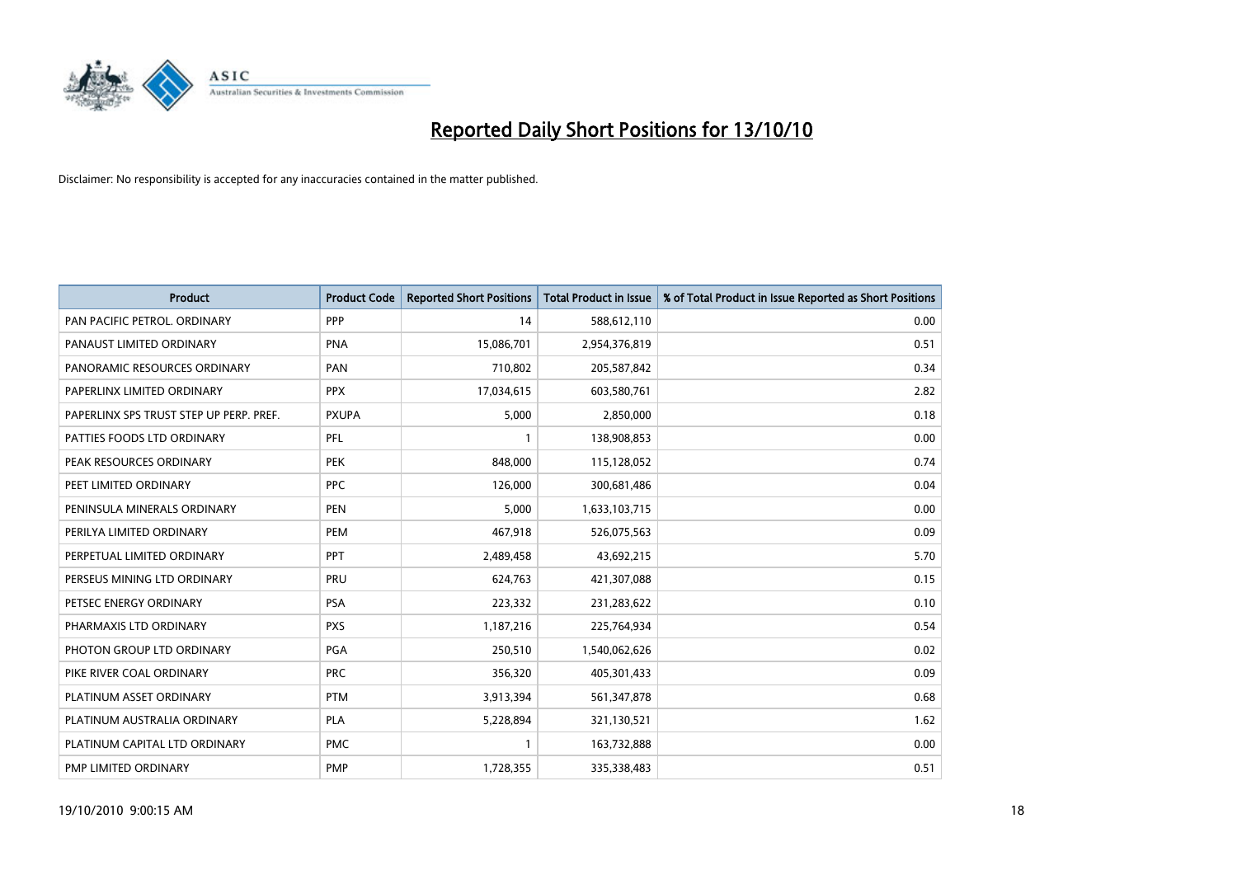

| <b>Product</b>                          | <b>Product Code</b> | <b>Reported Short Positions</b> | Total Product in Issue | % of Total Product in Issue Reported as Short Positions |
|-----------------------------------------|---------------------|---------------------------------|------------------------|---------------------------------------------------------|
| PAN PACIFIC PETROL. ORDINARY            | PPP                 | 14                              | 588,612,110            | 0.00                                                    |
| PANAUST LIMITED ORDINARY                | <b>PNA</b>          | 15,086,701                      | 2,954,376,819          | 0.51                                                    |
| PANORAMIC RESOURCES ORDINARY            | PAN                 | 710,802                         | 205,587,842            | 0.34                                                    |
| PAPERLINX LIMITED ORDINARY              | <b>PPX</b>          | 17,034,615                      | 603,580,761            | 2.82                                                    |
| PAPERLINX SPS TRUST STEP UP PERP. PREF. | <b>PXUPA</b>        | 5,000                           | 2,850,000              | 0.18                                                    |
| PATTIES FOODS LTD ORDINARY              | PFL                 |                                 | 138,908,853            | 0.00                                                    |
| PEAK RESOURCES ORDINARY                 | <b>PEK</b>          | 848,000                         | 115,128,052            | 0.74                                                    |
| PEET LIMITED ORDINARY                   | <b>PPC</b>          | 126,000                         | 300,681,486            | 0.04                                                    |
| PENINSULA MINERALS ORDINARY             | <b>PEN</b>          | 5,000                           | 1,633,103,715          | 0.00                                                    |
| PERILYA LIMITED ORDINARY                | PEM                 | 467,918                         | 526,075,563            | 0.09                                                    |
| PERPETUAL LIMITED ORDINARY              | <b>PPT</b>          | 2,489,458                       | 43,692,215             | 5.70                                                    |
| PERSEUS MINING LTD ORDINARY             | PRU                 | 624,763                         | 421,307,088            | 0.15                                                    |
| PETSEC ENERGY ORDINARY                  | <b>PSA</b>          | 223,332                         | 231,283,622            | 0.10                                                    |
| PHARMAXIS LTD ORDINARY                  | <b>PXS</b>          | 1,187,216                       | 225,764,934            | 0.54                                                    |
| PHOTON GROUP LTD ORDINARY               | <b>PGA</b>          | 250,510                         | 1,540,062,626          | 0.02                                                    |
| PIKE RIVER COAL ORDINARY                | <b>PRC</b>          | 356,320                         | 405,301,433            | 0.09                                                    |
| PLATINUM ASSET ORDINARY                 | <b>PTM</b>          | 3,913,394                       | 561,347,878            | 0.68                                                    |
| PLATINUM AUSTRALIA ORDINARY             | <b>PLA</b>          | 5,228,894                       | 321,130,521            | 1.62                                                    |
| PLATINUM CAPITAL LTD ORDINARY           | <b>PMC</b>          |                                 | 163,732,888            | 0.00                                                    |
| PMP LIMITED ORDINARY                    | <b>PMP</b>          | 1,728,355                       | 335,338,483            | 0.51                                                    |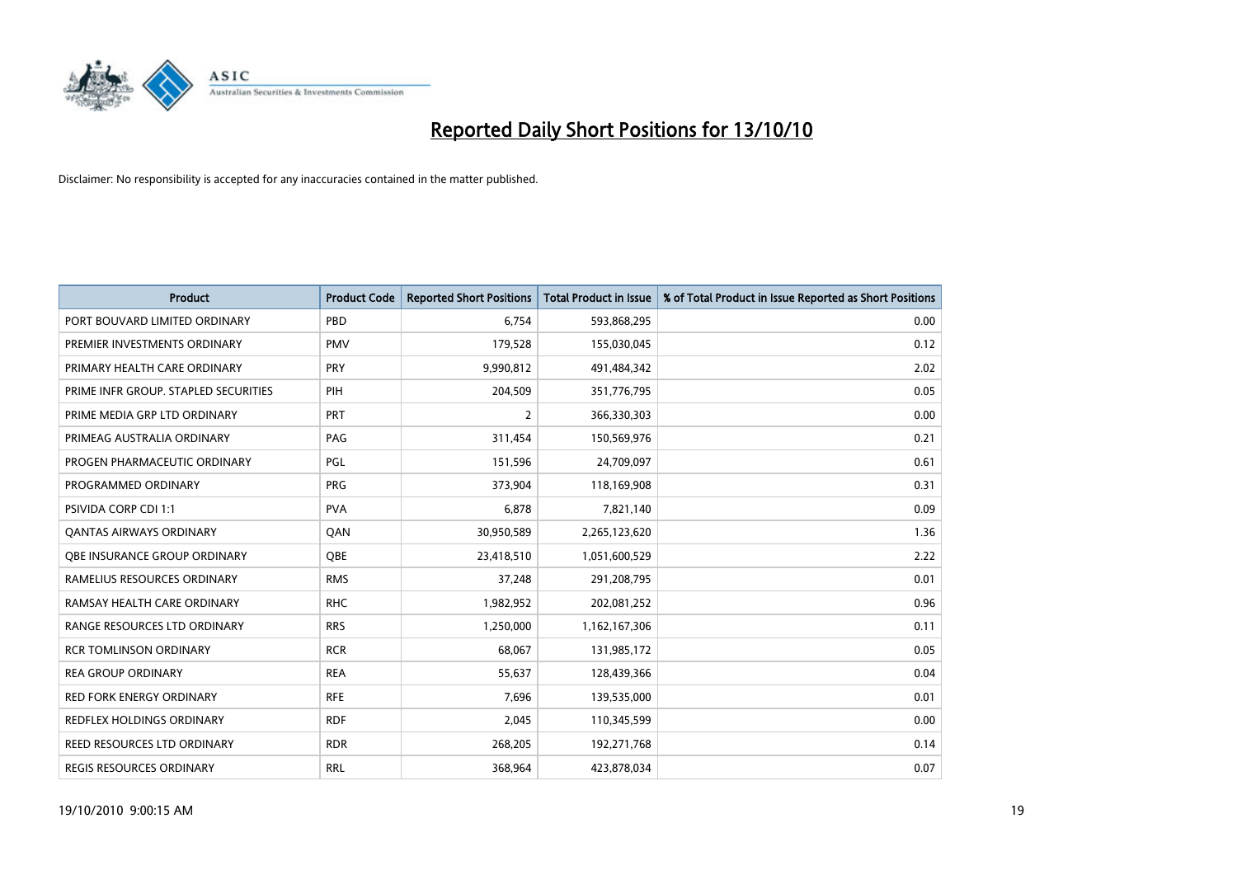

| <b>Product</b>                       | <b>Product Code</b> | <b>Reported Short Positions</b> | <b>Total Product in Issue</b> | % of Total Product in Issue Reported as Short Positions |
|--------------------------------------|---------------------|---------------------------------|-------------------------------|---------------------------------------------------------|
| PORT BOUVARD LIMITED ORDINARY        | PBD                 | 6.754                           | 593,868,295                   | 0.00                                                    |
| PREMIER INVESTMENTS ORDINARY         | <b>PMV</b>          | 179,528                         | 155,030,045                   | 0.12                                                    |
| PRIMARY HEALTH CARE ORDINARY         | <b>PRY</b>          | 9,990,812                       | 491,484,342                   | 2.02                                                    |
| PRIME INFR GROUP. STAPLED SECURITIES | PIH                 | 204,509                         | 351,776,795                   | 0.05                                                    |
| PRIME MEDIA GRP LTD ORDINARY         | <b>PRT</b>          | $\overline{2}$                  | 366,330,303                   | 0.00                                                    |
| PRIMEAG AUSTRALIA ORDINARY           | PAG                 | 311,454                         | 150,569,976                   | 0.21                                                    |
| PROGEN PHARMACEUTIC ORDINARY         | PGL                 | 151,596                         | 24,709,097                    | 0.61                                                    |
| PROGRAMMED ORDINARY                  | <b>PRG</b>          | 373,904                         | 118,169,908                   | 0.31                                                    |
| <b>PSIVIDA CORP CDI 1:1</b>          | <b>PVA</b>          | 6,878                           | 7,821,140                     | 0.09                                                    |
| <b>OANTAS AIRWAYS ORDINARY</b>       | OAN                 | 30,950,589                      | 2,265,123,620                 | 1.36                                                    |
| OBE INSURANCE GROUP ORDINARY         | <b>QBE</b>          | 23,418,510                      | 1,051,600,529                 | 2.22                                                    |
| RAMELIUS RESOURCES ORDINARY          | <b>RMS</b>          | 37,248                          | 291,208,795                   | 0.01                                                    |
| RAMSAY HEALTH CARE ORDINARY          | <b>RHC</b>          | 1,982,952                       | 202,081,252                   | 0.96                                                    |
| RANGE RESOURCES LTD ORDINARY         | <b>RRS</b>          | 1,250,000                       | 1,162,167,306                 | 0.11                                                    |
| <b>RCR TOMLINSON ORDINARY</b>        | <b>RCR</b>          | 68.067                          | 131,985,172                   | 0.05                                                    |
| <b>REA GROUP ORDINARY</b>            | <b>REA</b>          | 55,637                          | 128,439,366                   | 0.04                                                    |
| <b>RED FORK ENERGY ORDINARY</b>      | <b>RFE</b>          | 7,696                           | 139,535,000                   | 0.01                                                    |
| REDFLEX HOLDINGS ORDINARY            | <b>RDF</b>          | 2,045                           | 110,345,599                   | 0.00                                                    |
| <b>REED RESOURCES LTD ORDINARY</b>   | <b>RDR</b>          | 268,205                         | 192,271,768                   | 0.14                                                    |
| REGIS RESOURCES ORDINARY             | <b>RRL</b>          | 368,964                         | 423,878,034                   | 0.07                                                    |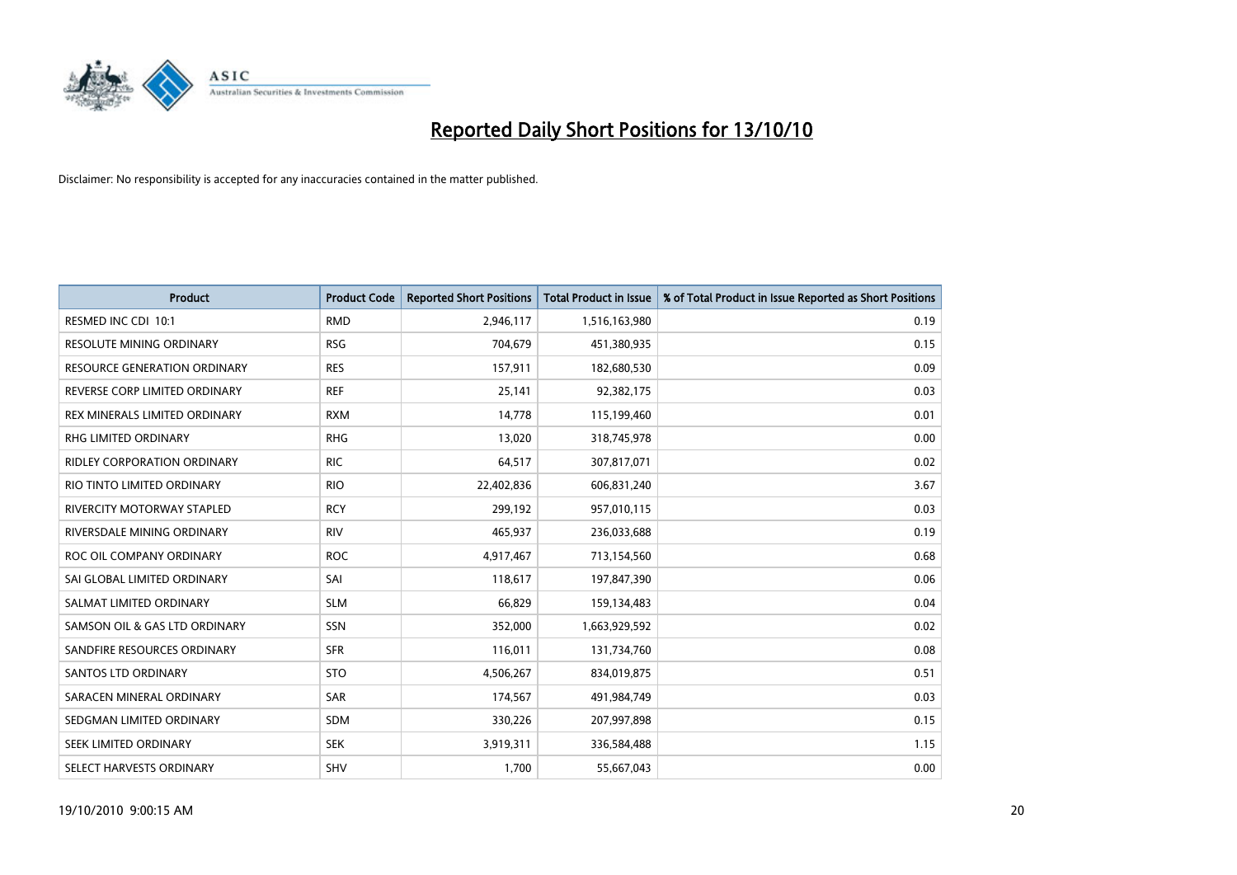

| <b>Product</b>                      | <b>Product Code</b> | <b>Reported Short Positions</b> | Total Product in Issue | % of Total Product in Issue Reported as Short Positions |
|-------------------------------------|---------------------|---------------------------------|------------------------|---------------------------------------------------------|
| RESMED INC CDI 10:1                 | <b>RMD</b>          | 2,946,117                       | 1,516,163,980          | 0.19                                                    |
| RESOLUTE MINING ORDINARY            | <b>RSG</b>          | 704,679                         | 451,380,935            | 0.15                                                    |
| <b>RESOURCE GENERATION ORDINARY</b> | <b>RES</b>          | 157,911                         | 182,680,530            | 0.09                                                    |
| REVERSE CORP LIMITED ORDINARY       | <b>REF</b>          | 25,141                          | 92,382,175             | 0.03                                                    |
| REX MINERALS LIMITED ORDINARY       | <b>RXM</b>          | 14,778                          | 115,199,460            | 0.01                                                    |
| <b>RHG LIMITED ORDINARY</b>         | <b>RHG</b>          | 13,020                          | 318,745,978            | 0.00                                                    |
| <b>RIDLEY CORPORATION ORDINARY</b>  | <b>RIC</b>          | 64,517                          | 307,817,071            | 0.02                                                    |
| RIO TINTO LIMITED ORDINARY          | <b>RIO</b>          | 22,402,836                      | 606,831,240            | 3.67                                                    |
| <b>RIVERCITY MOTORWAY STAPLED</b>   | <b>RCY</b>          | 299,192                         | 957,010,115            | 0.03                                                    |
| RIVERSDALE MINING ORDINARY          | <b>RIV</b>          | 465,937                         | 236,033,688            | 0.19                                                    |
| ROC OIL COMPANY ORDINARY            | <b>ROC</b>          | 4,917,467                       | 713,154,560            | 0.68                                                    |
| SAI GLOBAL LIMITED ORDINARY         | SAI                 | 118,617                         | 197,847,390            | 0.06                                                    |
| SALMAT LIMITED ORDINARY             | <b>SLM</b>          | 66,829                          | 159,134,483            | 0.04                                                    |
| SAMSON OIL & GAS LTD ORDINARY       | SSN                 | 352,000                         | 1,663,929,592          | 0.02                                                    |
| SANDFIRE RESOURCES ORDINARY         | <b>SFR</b>          | 116,011                         | 131,734,760            | 0.08                                                    |
| <b>SANTOS LTD ORDINARY</b>          | <b>STO</b>          | 4,506,267                       | 834,019,875            | 0.51                                                    |
| SARACEN MINERAL ORDINARY            | SAR                 | 174,567                         | 491,984,749            | 0.03                                                    |
| SEDGMAN LIMITED ORDINARY            | <b>SDM</b>          | 330,226                         | 207,997,898            | 0.15                                                    |
| SEEK LIMITED ORDINARY               | <b>SEK</b>          | 3,919,311                       | 336,584,488            | 1.15                                                    |
| SELECT HARVESTS ORDINARY            | SHV                 | 1,700                           | 55,667,043             | 0.00                                                    |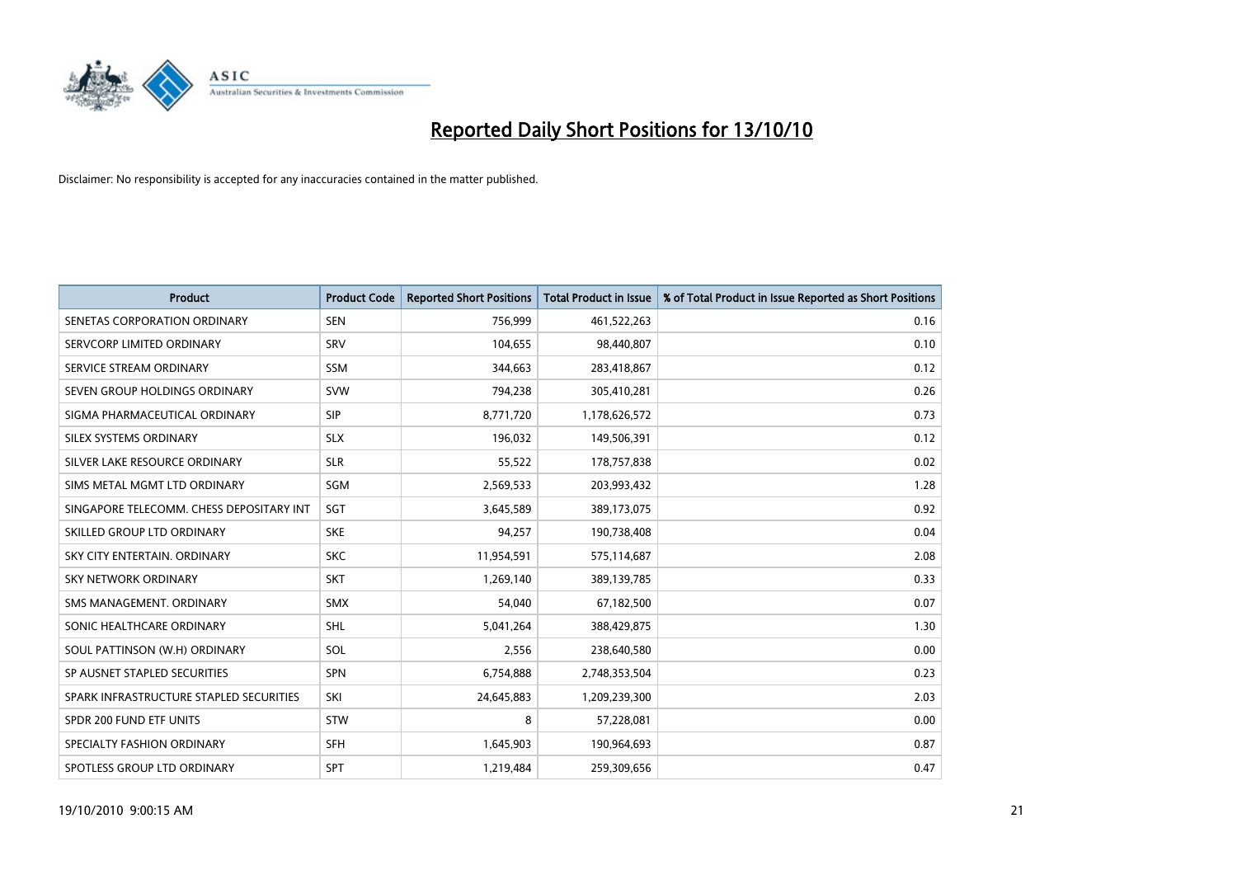

| <b>Product</b>                           | <b>Product Code</b> | <b>Reported Short Positions</b> | <b>Total Product in Issue</b> | % of Total Product in Issue Reported as Short Positions |
|------------------------------------------|---------------------|---------------------------------|-------------------------------|---------------------------------------------------------|
| SENETAS CORPORATION ORDINARY             | <b>SEN</b>          | 756,999                         | 461,522,263                   | 0.16                                                    |
| SERVCORP LIMITED ORDINARY                | SRV                 | 104,655                         | 98,440,807                    | 0.10                                                    |
| SERVICE STREAM ORDINARY                  | <b>SSM</b>          | 344,663                         | 283,418,867                   | 0.12                                                    |
| SEVEN GROUP HOLDINGS ORDINARY            | <b>SVW</b>          | 794,238                         | 305,410,281                   | 0.26                                                    |
| SIGMA PHARMACEUTICAL ORDINARY            | <b>SIP</b>          | 8,771,720                       | 1,178,626,572                 | 0.73                                                    |
| SILEX SYSTEMS ORDINARY                   | <b>SLX</b>          | 196,032                         | 149,506,391                   | 0.12                                                    |
| SILVER LAKE RESOURCE ORDINARY            | <b>SLR</b>          | 55,522                          | 178,757,838                   | 0.02                                                    |
| SIMS METAL MGMT LTD ORDINARY             | SGM                 | 2,569,533                       | 203,993,432                   | 1.28                                                    |
| SINGAPORE TELECOMM. CHESS DEPOSITARY INT | SGT                 | 3,645,589                       | 389,173,075                   | 0.92                                                    |
| SKILLED GROUP LTD ORDINARY               | <b>SKE</b>          | 94,257                          | 190,738,408                   | 0.04                                                    |
| SKY CITY ENTERTAIN. ORDINARY             | <b>SKC</b>          | 11,954,591                      | 575,114,687                   | 2.08                                                    |
| <b>SKY NETWORK ORDINARY</b>              | <b>SKT</b>          | 1,269,140                       | 389,139,785                   | 0.33                                                    |
| SMS MANAGEMENT. ORDINARY                 | <b>SMX</b>          | 54,040                          | 67,182,500                    | 0.07                                                    |
| SONIC HEALTHCARE ORDINARY                | SHL                 | 5,041,264                       | 388,429,875                   | 1.30                                                    |
| SOUL PATTINSON (W.H) ORDINARY            | SOL                 | 2,556                           | 238,640,580                   | 0.00                                                    |
| SP AUSNET STAPLED SECURITIES             | SPN                 | 6,754,888                       | 2,748,353,504                 | 0.23                                                    |
| SPARK INFRASTRUCTURE STAPLED SECURITIES  | SKI                 | 24,645,883                      | 1,209,239,300                 | 2.03                                                    |
| SPDR 200 FUND ETF UNITS                  | <b>STW</b>          | 8                               | 57,228,081                    | 0.00                                                    |
| SPECIALTY FASHION ORDINARY               | <b>SFH</b>          | 1,645,903                       | 190,964,693                   | 0.87                                                    |
| SPOTLESS GROUP LTD ORDINARY              | <b>SPT</b>          | 1,219,484                       | 259,309,656                   | 0.47                                                    |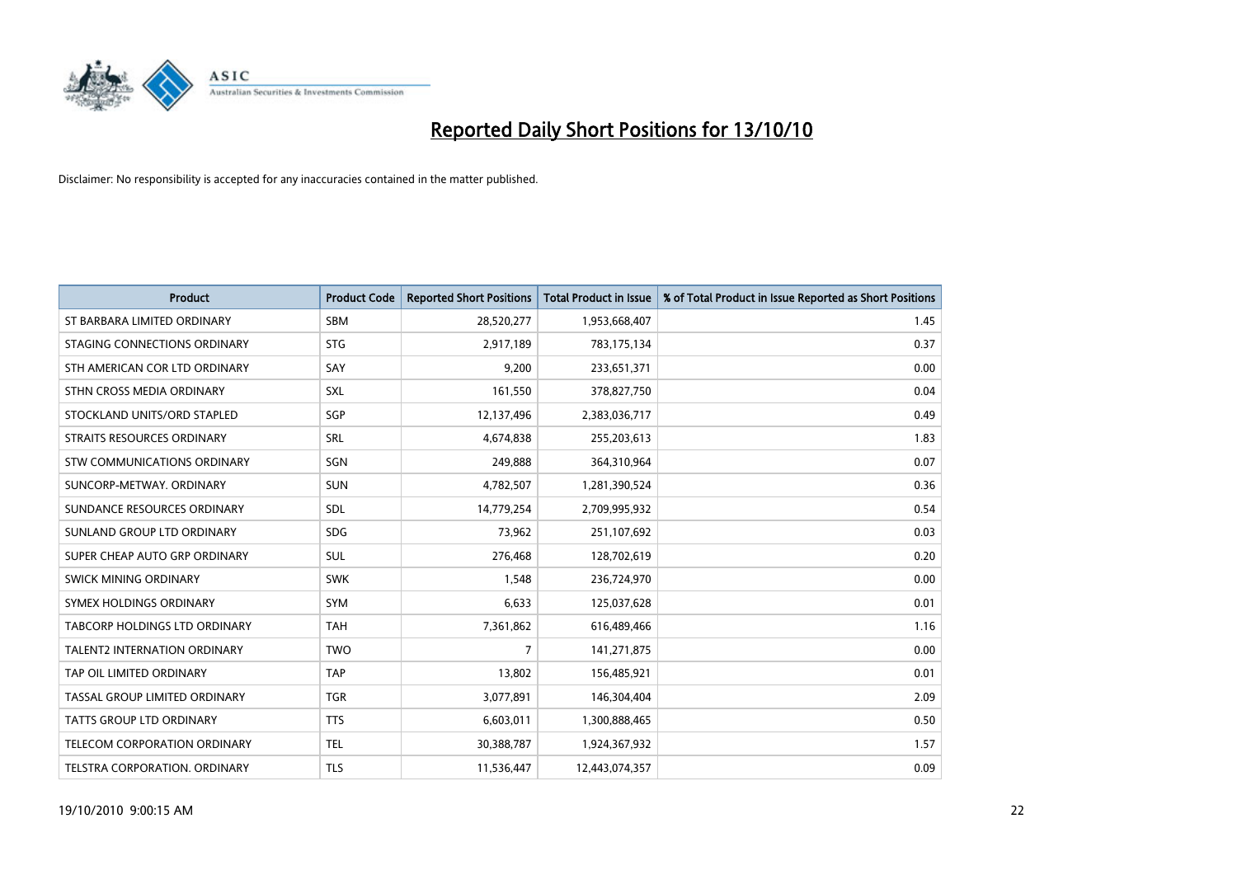

| <b>Product</b>                       | <b>Product Code</b> | <b>Reported Short Positions</b> | <b>Total Product in Issue</b> | % of Total Product in Issue Reported as Short Positions |
|--------------------------------------|---------------------|---------------------------------|-------------------------------|---------------------------------------------------------|
| ST BARBARA LIMITED ORDINARY          | <b>SBM</b>          | 28,520,277                      | 1,953,668,407                 | 1.45                                                    |
| STAGING CONNECTIONS ORDINARY         | <b>STG</b>          | 2,917,189                       | 783,175,134                   | 0.37                                                    |
| STH AMERICAN COR LTD ORDINARY        | SAY                 | 9,200                           | 233,651,371                   | 0.00                                                    |
| STHN CROSS MEDIA ORDINARY            | SXL                 | 161,550                         | 378,827,750                   | 0.04                                                    |
| STOCKLAND UNITS/ORD STAPLED          | SGP                 | 12,137,496                      | 2,383,036,717                 | 0.49                                                    |
| STRAITS RESOURCES ORDINARY           | SRL                 | 4,674,838                       | 255,203,613                   | 1.83                                                    |
| STW COMMUNICATIONS ORDINARY          | SGN                 | 249,888                         | 364,310,964                   | 0.07                                                    |
| SUNCORP-METWAY, ORDINARY             | SUN                 | 4,782,507                       | 1,281,390,524                 | 0.36                                                    |
| SUNDANCE RESOURCES ORDINARY          | <b>SDL</b>          | 14,779,254                      | 2,709,995,932                 | 0.54                                                    |
| SUNLAND GROUP LTD ORDINARY           | <b>SDG</b>          | 73,962                          | 251,107,692                   | 0.03                                                    |
| SUPER CHEAP AUTO GRP ORDINARY        | <b>SUL</b>          | 276,468                         | 128,702,619                   | 0.20                                                    |
| SWICK MINING ORDINARY                | <b>SWK</b>          | 1,548                           | 236,724,970                   | 0.00                                                    |
| SYMEX HOLDINGS ORDINARY              | <b>SYM</b>          | 6,633                           | 125,037,628                   | 0.01                                                    |
| <b>TABCORP HOLDINGS LTD ORDINARY</b> | <b>TAH</b>          | 7,361,862                       | 616,489,466                   | 1.16                                                    |
| <b>TALENT2 INTERNATION ORDINARY</b>  | <b>TWO</b>          | 7                               | 141,271,875                   | 0.00                                                    |
| TAP OIL LIMITED ORDINARY             | <b>TAP</b>          | 13,802                          | 156,485,921                   | 0.01                                                    |
| TASSAL GROUP LIMITED ORDINARY        | <b>TGR</b>          | 3,077,891                       | 146,304,404                   | 2.09                                                    |
| TATTS GROUP LTD ORDINARY             | <b>TTS</b>          | 6,603,011                       | 1,300,888,465                 | 0.50                                                    |
| TELECOM CORPORATION ORDINARY         | <b>TEL</b>          | 30,388,787                      | 1,924,367,932                 | 1.57                                                    |
| TELSTRA CORPORATION, ORDINARY        | <b>TLS</b>          | 11,536,447                      | 12,443,074,357                | 0.09                                                    |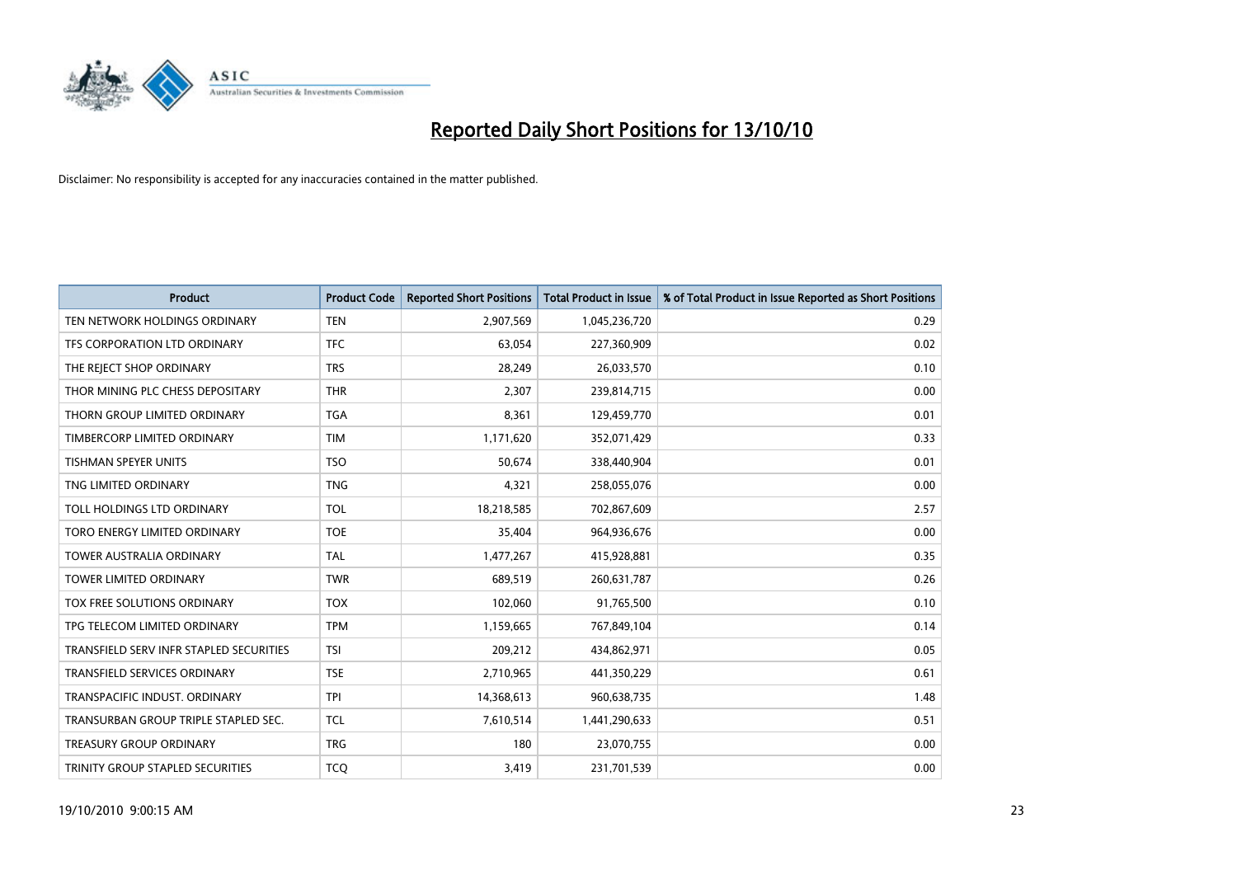

| <b>Product</b>                          | <b>Product Code</b> | <b>Reported Short Positions</b> | <b>Total Product in Issue</b> | % of Total Product in Issue Reported as Short Positions |
|-----------------------------------------|---------------------|---------------------------------|-------------------------------|---------------------------------------------------------|
| TEN NETWORK HOLDINGS ORDINARY           | <b>TEN</b>          | 2,907,569                       | 1,045,236,720                 | 0.29                                                    |
| TFS CORPORATION LTD ORDINARY            | <b>TFC</b>          | 63,054                          | 227,360,909                   | 0.02                                                    |
| THE REJECT SHOP ORDINARY                | <b>TRS</b>          | 28,249                          | 26,033,570                    | 0.10                                                    |
| THOR MINING PLC CHESS DEPOSITARY        | <b>THR</b>          | 2,307                           | 239,814,715                   | 0.00                                                    |
| THORN GROUP LIMITED ORDINARY            | <b>TGA</b>          | 8,361                           | 129,459,770                   | 0.01                                                    |
| TIMBERCORP LIMITED ORDINARY             | <b>TIM</b>          | 1,171,620                       | 352,071,429                   | 0.33                                                    |
| <b>TISHMAN SPEYER UNITS</b>             | <b>TSO</b>          | 50,674                          | 338,440,904                   | 0.01                                                    |
| TNG LIMITED ORDINARY                    | <b>TNG</b>          | 4,321                           | 258,055,076                   | 0.00                                                    |
| TOLL HOLDINGS LTD ORDINARY              | <b>TOL</b>          | 18,218,585                      | 702,867,609                   | 2.57                                                    |
| TORO ENERGY LIMITED ORDINARY            | <b>TOE</b>          | 35,404                          | 964,936,676                   | 0.00                                                    |
| TOWER AUSTRALIA ORDINARY                | <b>TAL</b>          | 1,477,267                       | 415,928,881                   | 0.35                                                    |
| <b>TOWER LIMITED ORDINARY</b>           | <b>TWR</b>          | 689,519                         | 260,631,787                   | 0.26                                                    |
| TOX FREE SOLUTIONS ORDINARY             | <b>TOX</b>          | 102,060                         | 91,765,500                    | 0.10                                                    |
| TPG TELECOM LIMITED ORDINARY            | <b>TPM</b>          | 1,159,665                       | 767,849,104                   | 0.14                                                    |
| TRANSFIELD SERV INFR STAPLED SECURITIES | <b>TSI</b>          | 209,212                         | 434,862,971                   | 0.05                                                    |
| TRANSFIELD SERVICES ORDINARY            | <b>TSE</b>          | 2,710,965                       | 441,350,229                   | 0.61                                                    |
| TRANSPACIFIC INDUST. ORDINARY           | <b>TPI</b>          | 14,368,613                      | 960,638,735                   | 1.48                                                    |
| TRANSURBAN GROUP TRIPLE STAPLED SEC.    | <b>TCL</b>          | 7,610,514                       | 1,441,290,633                 | 0.51                                                    |
| <b>TREASURY GROUP ORDINARY</b>          | <b>TRG</b>          | 180                             | 23,070,755                    | 0.00                                                    |
| TRINITY GROUP STAPLED SECURITIES        | <b>TCO</b>          | 3,419                           | 231,701,539                   | 0.00                                                    |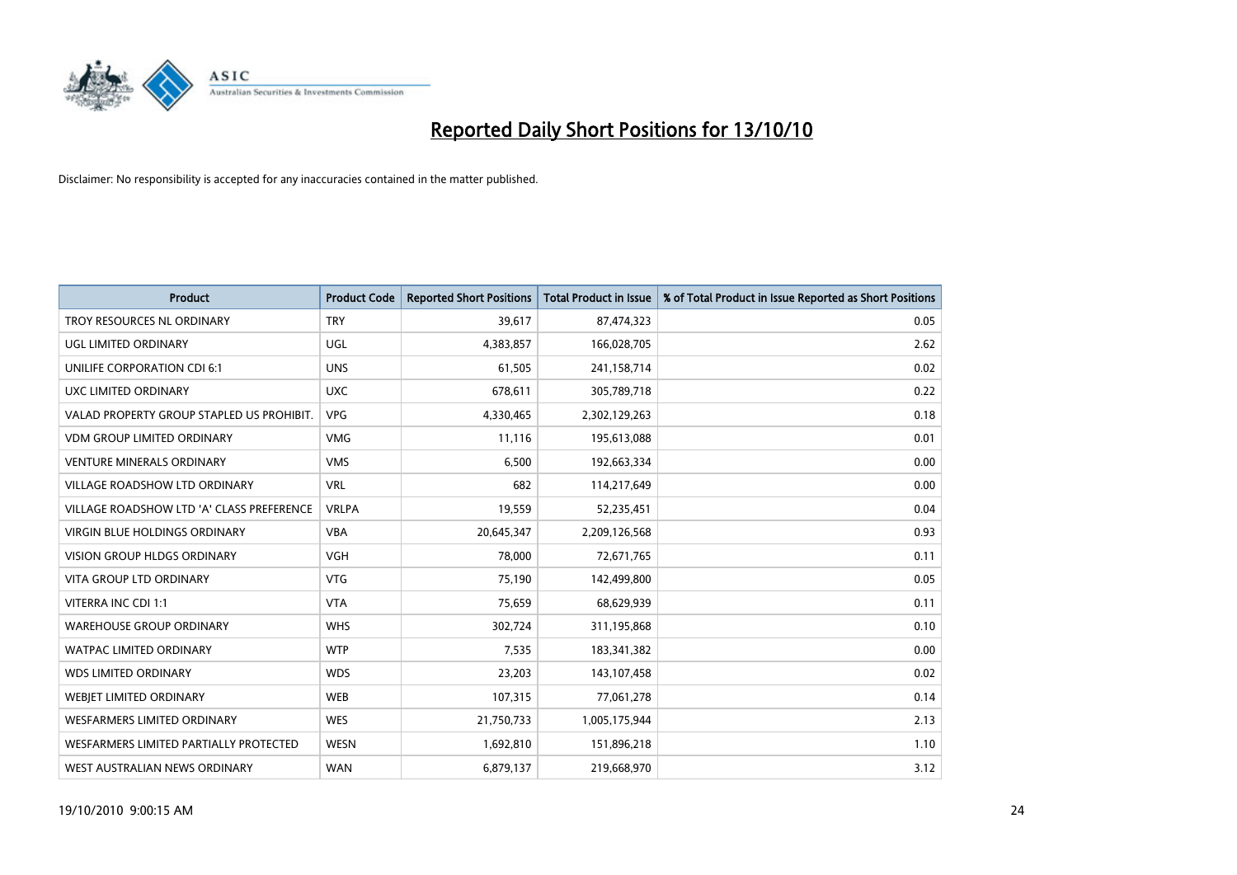

| <b>Product</b>                            | <b>Product Code</b> | <b>Reported Short Positions</b> | Total Product in Issue | % of Total Product in Issue Reported as Short Positions |
|-------------------------------------------|---------------------|---------------------------------|------------------------|---------------------------------------------------------|
| TROY RESOURCES NL ORDINARY                | <b>TRY</b>          | 39,617                          | 87,474,323             | 0.05                                                    |
| UGL LIMITED ORDINARY                      | UGL                 | 4,383,857                       | 166,028,705            | 2.62                                                    |
| <b>UNILIFE CORPORATION CDI 6:1</b>        | <b>UNS</b>          | 61,505                          | 241,158,714            | 0.02                                                    |
| UXC LIMITED ORDINARY                      | <b>UXC</b>          | 678,611                         | 305,789,718            | 0.22                                                    |
| VALAD PROPERTY GROUP STAPLED US PROHIBIT. | <b>VPG</b>          | 4,330,465                       | 2,302,129,263          | 0.18                                                    |
| <b>VDM GROUP LIMITED ORDINARY</b>         | <b>VMG</b>          | 11,116                          | 195,613,088            | 0.01                                                    |
| <b>VENTURE MINERALS ORDINARY</b>          | <b>VMS</b>          | 6,500                           | 192,663,334            | 0.00                                                    |
| VILLAGE ROADSHOW LTD ORDINARY             | <b>VRL</b>          | 682                             | 114,217,649            | 0.00                                                    |
| VILLAGE ROADSHOW LTD 'A' CLASS PREFERENCE | <b>VRLPA</b>        | 19,559                          | 52,235,451             | 0.04                                                    |
| <b>VIRGIN BLUE HOLDINGS ORDINARY</b>      | <b>VBA</b>          | 20,645,347                      | 2,209,126,568          | 0.93                                                    |
| VISION GROUP HLDGS ORDINARY               | <b>VGH</b>          | 78,000                          | 72,671,765             | 0.11                                                    |
| <b>VITA GROUP LTD ORDINARY</b>            | <b>VTG</b>          | 75,190                          | 142,499,800            | 0.05                                                    |
| VITERRA INC CDI 1:1                       | <b>VTA</b>          | 75,659                          | 68,629,939             | 0.11                                                    |
| <b>WAREHOUSE GROUP ORDINARY</b>           | <b>WHS</b>          | 302,724                         | 311,195,868            | 0.10                                                    |
| <b>WATPAC LIMITED ORDINARY</b>            | <b>WTP</b>          | 7,535                           | 183,341,382            | 0.00                                                    |
| <b>WDS LIMITED ORDINARY</b>               | <b>WDS</b>          | 23,203                          | 143,107,458            | 0.02                                                    |
| WEBIET LIMITED ORDINARY                   | <b>WEB</b>          | 107,315                         | 77,061,278             | 0.14                                                    |
| <b>WESFARMERS LIMITED ORDINARY</b>        | <b>WES</b>          | 21,750,733                      | 1,005,175,944          | 2.13                                                    |
| WESFARMERS LIMITED PARTIALLY PROTECTED    | <b>WESN</b>         | 1,692,810                       | 151,896,218            | 1.10                                                    |
| WEST AUSTRALIAN NEWS ORDINARY             | <b>WAN</b>          | 6,879,137                       | 219,668,970            | 3.12                                                    |